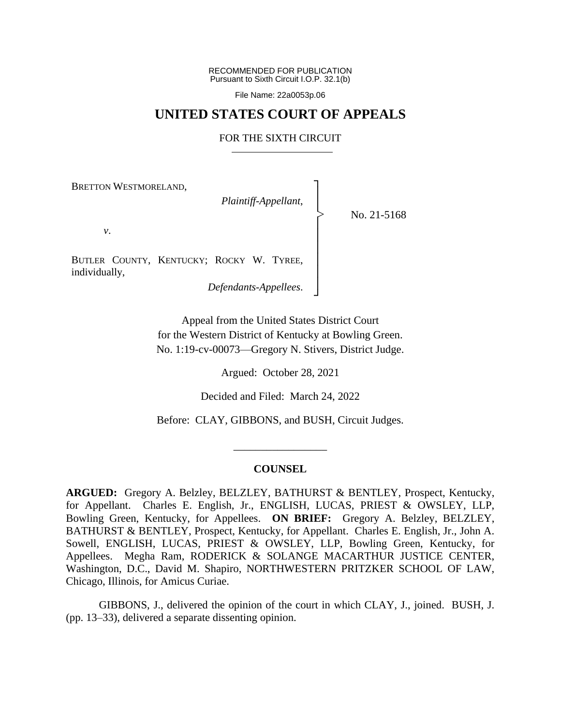RECOMMENDED FOR PUBLICATION Pursuant to Sixth Circuit I.O.P. 32.1(b)

File Name: 22a0053p.06

# **UNITED STATES COURT OF APPEALS**

### FOR THE SIXTH CIRCUIT

┐ │ │ │ │ │ │ │ │ ┘

|<br>|<br>|

BRETTON WESTMORELAND,

*Plaintiff-Appellant*,

No. 21-5168

*v*.

BUTLER COUNTY, KENTUCKY; ROCKY W. TYREE, individually,

*Defendants-Appellees*.

Appeal from the United States District Court for the Western District of Kentucky at Bowling Green. No. 1:19-cv-00073—Gregory N. Stivers, District Judge.

Argued: October 28, 2021

Decided and Filed: March 24, 2022

Before: CLAY, GIBBONS, and BUSH, Circuit Judges.

## **COUNSEL**

\_\_\_\_\_\_\_\_\_\_\_\_\_\_\_\_\_

**ARGUED:** Gregory A. Belzley, BELZLEY, BATHURST & BENTLEY, Prospect, Kentucky, for Appellant. Charles E. English, Jr., ENGLISH, LUCAS, PRIEST & OWSLEY, LLP, Bowling Green, Kentucky, for Appellees. **ON BRIEF:** Gregory A. Belzley, BELZLEY, BATHURST & BENTLEY, Prospect, Kentucky, for Appellant. Charles E. English, Jr., John A. Sowell, ENGLISH, LUCAS, PRIEST & OWSLEY, LLP, Bowling Green, Kentucky, for Appellees. Megha Ram, RODERICK & SOLANGE MACARTHUR JUSTICE CENTER, Washington, D.C., David M. Shapiro, NORTHWESTERN PRITZKER SCHOOL OF LAW, Chicago, Illinois, for Amicus Curiae.

GIBBONS, J., delivered the opinion of the court in which CLAY, J., joined. BUSH, J. (pp. 13–33), delivered a separate dissenting opinion.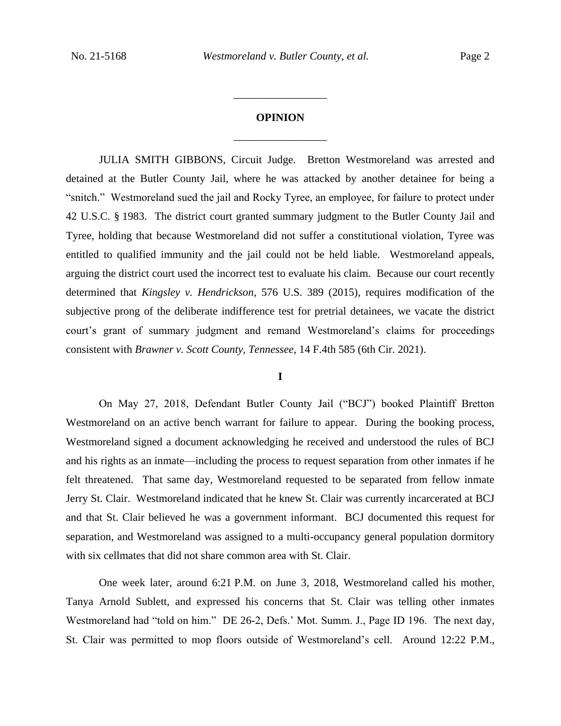# **OPINION** \_\_\_\_\_\_\_\_\_\_\_\_\_\_\_\_\_

\_\_\_\_\_\_\_\_\_\_\_\_\_\_\_\_\_

JULIA SMITH GIBBONS, Circuit Judge. Bretton Westmoreland was arrested and detained at the Butler County Jail, where he was attacked by another detainee for being a "snitch." Westmoreland sued the jail and Rocky Tyree, an employee, for failure to protect under 42 U.S.C. § 1983. The district court granted summary judgment to the Butler County Jail and Tyree, holding that because Westmoreland did not suffer a constitutional violation, Tyree was entitled to qualified immunity and the jail could not be held liable. Westmoreland appeals, arguing the district court used the incorrect test to evaluate his claim. Because our court recently determined that *Kingsley v. Hendrickson*, 576 U.S. 389 (2015), requires modification of the subjective prong of the deliberate indifference test for pretrial detainees, we vacate the district court's grant of summary judgment and remand Westmoreland's claims for proceedings consistent with *Brawner v. Scott County, Tennessee*, 14 F.4th 585 (6th Cir. 2021).

## **I**

On May 27, 2018, Defendant Butler County Jail ("BCJ") booked Plaintiff Bretton Westmoreland on an active bench warrant for failure to appear. During the booking process, Westmoreland signed a document acknowledging he received and understood the rules of BCJ and his rights as an inmate—including the process to request separation from other inmates if he felt threatened. That same day, Westmoreland requested to be separated from fellow inmate Jerry St. Clair. Westmoreland indicated that he knew St. Clair was currently incarcerated at BCJ and that St. Clair believed he was a government informant. BCJ documented this request for separation, and Westmoreland was assigned to a multi-occupancy general population dormitory with six cellmates that did not share common area with St. Clair.

One week later, around 6:21 P.M. on June 3, 2018, Westmoreland called his mother, Tanya Arnold Sublett, and expressed his concerns that St. Clair was telling other inmates Westmoreland had "told on him." DE 26-2, Defs.' Mot. Summ. J., Page ID 196. The next day, St. Clair was permitted to mop floors outside of Westmoreland's cell. Around 12:22 P.M.,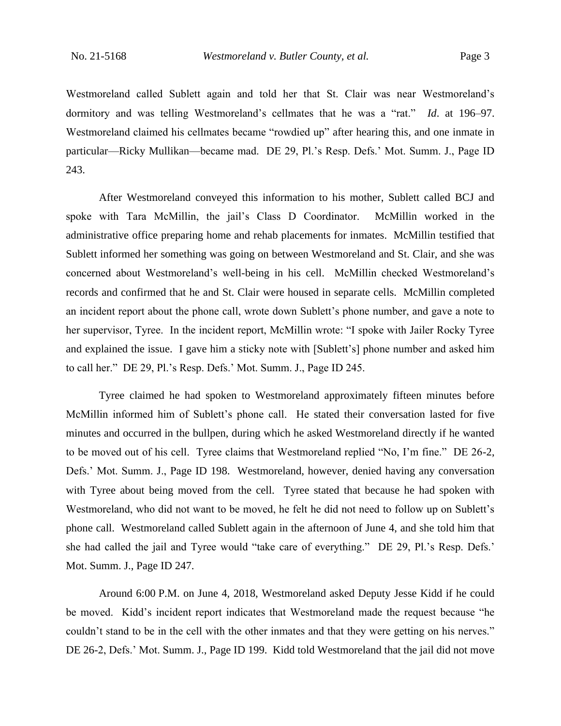Westmoreland called Sublett again and told her that St. Clair was near Westmoreland's dormitory and was telling Westmoreland's cellmates that he was a "rat." *Id*. at 196–97. Westmoreland claimed his cellmates became "rowdied up" after hearing this, and one inmate in particular—Ricky Mullikan—became mad. DE 29, Pl.'s Resp. Defs.' Mot. Summ. J., Page ID 243.

After Westmoreland conveyed this information to his mother, Sublett called BCJ and spoke with Tara McMillin, the jail's Class D Coordinator. McMillin worked in the administrative office preparing home and rehab placements for inmates. McMillin testified that Sublett informed her something was going on between Westmoreland and St. Clair, and she was concerned about Westmoreland's well-being in his cell. McMillin checked Westmoreland's records and confirmed that he and St. Clair were housed in separate cells. McMillin completed an incident report about the phone call, wrote down Sublett's phone number, and gave a note to her supervisor, Tyree. In the incident report, McMillin wrote: "I spoke with Jailer Rocky Tyree and explained the issue. I gave him a sticky note with [Sublett's] phone number and asked him to call her." DE 29, Pl.'s Resp. Defs.' Mot. Summ. J., Page ID 245.

Tyree claimed he had spoken to Westmoreland approximately fifteen minutes before McMillin informed him of Sublett's phone call. He stated their conversation lasted for five minutes and occurred in the bullpen, during which he asked Westmoreland directly if he wanted to be moved out of his cell. Tyree claims that Westmoreland replied "No, I'm fine." DE 26-2, Defs.' Mot. Summ. J., Page ID 198. Westmoreland, however, denied having any conversation with Tyree about being moved from the cell. Tyree stated that because he had spoken with Westmoreland, who did not want to be moved, he felt he did not need to follow up on Sublett's phone call. Westmoreland called Sublett again in the afternoon of June 4, and she told him that she had called the jail and Tyree would "take care of everything." DE 29, Pl.'s Resp. Defs.' Mot. Summ. J., Page ID 247.

Around 6:00 P.M. on June 4, 2018, Westmoreland asked Deputy Jesse Kidd if he could be moved. Kidd's incident report indicates that Westmoreland made the request because "he couldn't stand to be in the cell with the other inmates and that they were getting on his nerves." DE 26-2, Defs.' Mot. Summ. J., Page ID 199. Kidd told Westmoreland that the jail did not move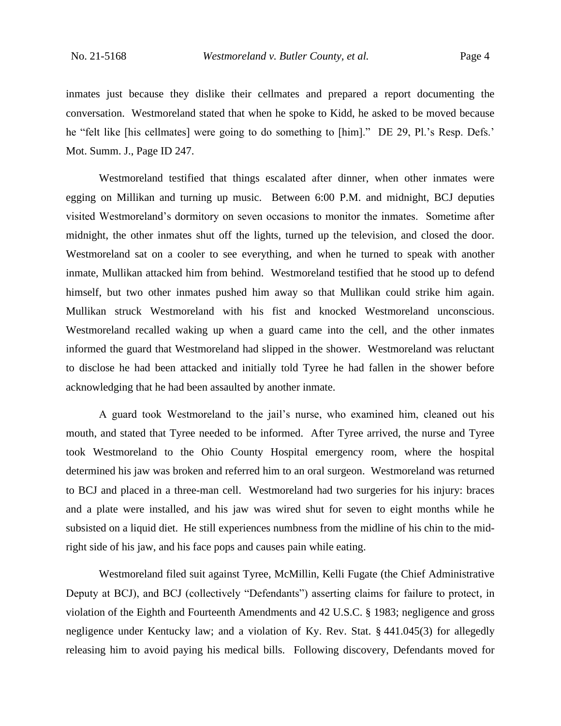inmates just because they dislike their cellmates and prepared a report documenting the conversation. Westmoreland stated that when he spoke to Kidd, he asked to be moved because he "felt like [his cellmates] were going to do something to [him]." DE 29, Pl.'s Resp. Defs.' Mot. Summ. J., Page ID 247.

Westmoreland testified that things escalated after dinner, when other inmates were egging on Millikan and turning up music. Between 6:00 P.M. and midnight, BCJ deputies visited Westmoreland's dormitory on seven occasions to monitor the inmates. Sometime after midnight, the other inmates shut off the lights, turned up the television, and closed the door. Westmoreland sat on a cooler to see everything, and when he turned to speak with another inmate, Mullikan attacked him from behind. Westmoreland testified that he stood up to defend himself, but two other inmates pushed him away so that Mullikan could strike him again. Mullikan struck Westmoreland with his fist and knocked Westmoreland unconscious. Westmoreland recalled waking up when a guard came into the cell, and the other inmates informed the guard that Westmoreland had slipped in the shower. Westmoreland was reluctant to disclose he had been attacked and initially told Tyree he had fallen in the shower before acknowledging that he had been assaulted by another inmate.

A guard took Westmoreland to the jail's nurse, who examined him, cleaned out his mouth, and stated that Tyree needed to be informed. After Tyree arrived, the nurse and Tyree took Westmoreland to the Ohio County Hospital emergency room, where the hospital determined his jaw was broken and referred him to an oral surgeon. Westmoreland was returned to BCJ and placed in a three-man cell. Westmoreland had two surgeries for his injury: braces and a plate were installed, and his jaw was wired shut for seven to eight months while he subsisted on a liquid diet. He still experiences numbness from the midline of his chin to the midright side of his jaw, and his face pops and causes pain while eating.

Westmoreland filed suit against Tyree, McMillin, Kelli Fugate (the Chief Administrative Deputy at BCJ), and BCJ (collectively "Defendants") asserting claims for failure to protect, in violation of the Eighth and Fourteenth Amendments and 42 U.S.C. § 1983; negligence and gross negligence under Kentucky law; and a violation of Ky. Rev. Stat. § 441.045(3) for allegedly releasing him to avoid paying his medical bills. Following discovery, Defendants moved for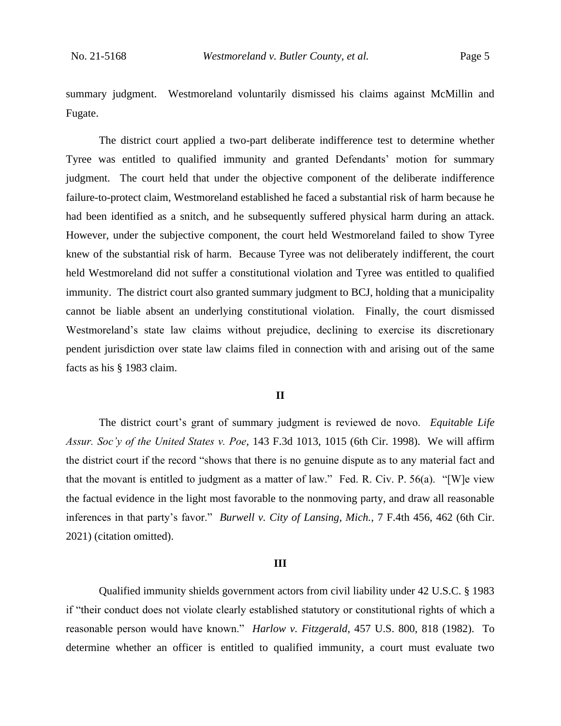summary judgment. Westmoreland voluntarily dismissed his claims against McMillin and Fugate.

The district court applied a two-part deliberate indifference test to determine whether Tyree was entitled to qualified immunity and granted Defendants' motion for summary judgment. The court held that under the objective component of the deliberate indifference failure-to-protect claim, Westmoreland established he faced a substantial risk of harm because he had been identified as a snitch, and he subsequently suffered physical harm during an attack. However, under the subjective component, the court held Westmoreland failed to show Tyree knew of the substantial risk of harm. Because Tyree was not deliberately indifferent, the court held Westmoreland did not suffer a constitutional violation and Tyree was entitled to qualified immunity. The district court also granted summary judgment to BCJ, holding that a municipality cannot be liable absent an underlying constitutional violation. Finally, the court dismissed Westmoreland's state law claims without prejudice, declining to exercise its discretionary pendent jurisdiction over state law claims filed in connection with and arising out of the same facts as his § 1983 claim.

## **II**

The district court's grant of summary judgment is reviewed de novo. *Equitable Life Assur. Soc'y of the United States v. Poe*, 143 F.3d 1013, 1015 (6th Cir. 1998). We will affirm the district court if the record "shows that there is no genuine dispute as to any material fact and that the movant is entitled to judgment as a matter of law." Fed. R. Civ. P. 56(a). "[W]e view the factual evidence in the light most favorable to the nonmoving party, and draw all reasonable inferences in that party's favor." *Burwell v. City of Lansing, Mich.*, 7 F.4th 456, 462 (6th Cir. 2021) (citation omitted).

#### **III**

Qualified immunity shields government actors from civil liability under 42 U.S.C. § 1983 if "their conduct does not violate clearly established statutory or constitutional rights of which a reasonable person would have known." *Harlow v. Fitzgerald*, 457 U.S. 800, 818 (1982). To determine whether an officer is entitled to qualified immunity, a court must evaluate two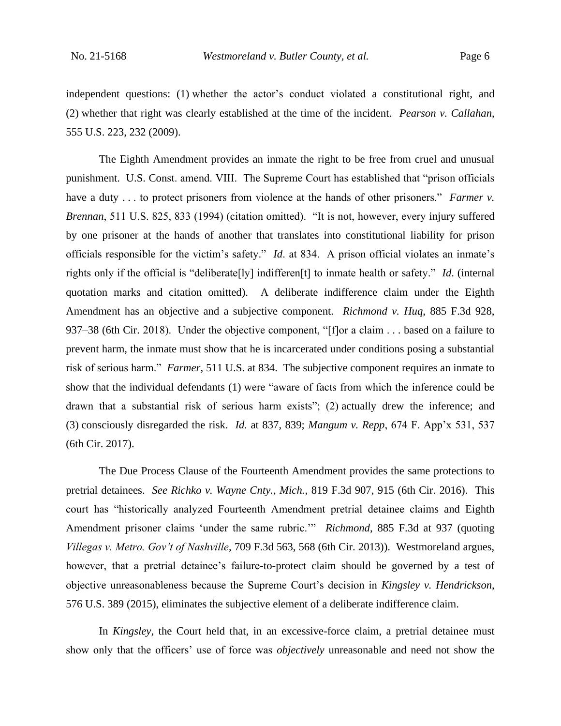independent questions: (1) whether the actor's conduct violated a constitutional right, and (2) whether that right was clearly established at the time of the incident. *Pearson v. Callahan*, 555 U.S. 223, 232 (2009).

The Eighth Amendment provides an inmate the right to be free from cruel and unusual punishment. U.S. Const. amend. VIII. The Supreme Court has established that "prison officials have a duty . . . to protect prisoners from violence at the hands of other prisoners." *Farmer v. Brennan*, 511 U.S. 825, 833 (1994) (citation omitted). "It is not, however, every injury suffered by one prisoner at the hands of another that translates into constitutional liability for prison officials responsible for the victim's safety." *Id*. at 834. A prison official violates an inmate's rights only if the official is "deliberate[ly] indifferen[t] to inmate health or safety." *Id*. (internal quotation marks and citation omitted). A deliberate indifference claim under the Eighth Amendment has an objective and a subjective component. *Richmond v. Huq*, 885 F.3d 928, 937–38 (6th Cir. 2018). Under the objective component, "[f]or a claim . . . based on a failure to prevent harm, the inmate must show that he is incarcerated under conditions posing a substantial risk of serious harm." *Farmer*, 511 U.S. at 834. The subjective component requires an inmate to show that the individual defendants (1) were "aware of facts from which the inference could be drawn that a substantial risk of serious harm exists"; (2) actually drew the inference; and (3) consciously disregarded the risk. *Id.* at 837, 839; *Mangum v. Repp*, 674 F. App'x 531, 537 (6th Cir. 2017).

The Due Process Clause of the Fourteenth Amendment provides the same protections to pretrial detainees. *See Richko v. Wayne Cnty., Mich.*, 819 F.3d 907, 915 (6th Cir. 2016). This court has "historically analyzed Fourteenth Amendment pretrial detainee claims and Eighth Amendment prisoner claims 'under the same rubric.'" *Richmond*, 885 F.3d at 937 (quoting *Villegas v. Metro. Gov't of Nashville*, 709 F.3d 563, 568 (6th Cir. 2013)). Westmoreland argues, however, that a pretrial detainee's failure-to-protect claim should be governed by a test of objective unreasonableness because the Supreme Court's decision in *Kingsley v. Hendrickson*, 576 U.S. 389 (2015), eliminates the subjective element of a deliberate indifference claim.

In *Kingsley*, the Court held that, in an excessive-force claim, a pretrial detainee must show only that the officers' use of force was *objectively* unreasonable and need not show the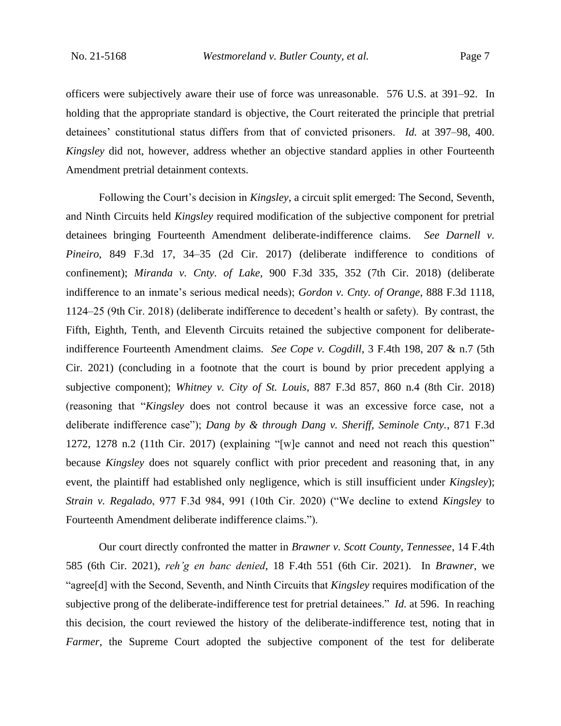officers were subjectively aware their use of force was unreasonable. 576 U.S. at 391–92. In holding that the appropriate standard is objective, the Court reiterated the principle that pretrial detainees' constitutional status differs from that of convicted prisoners. *Id.* at 397–98, 400. *Kingsley* did not, however, address whether an objective standard applies in other Fourteenth Amendment pretrial detainment contexts.

Following the Court's decision in *Kingsley*, a circuit split emerged: The Second, Seventh, and Ninth Circuits held *Kingsley* required modification of the subjective component for pretrial detainees bringing Fourteenth Amendment deliberate-indifference claims. *See Darnell v. Pineiro*, 849 F.3d 17, 34–35 (2d Cir. 2017) (deliberate indifference to conditions of confinement); *Miranda v. Cnty. of Lake*, 900 F.3d 335, 352 (7th Cir. 2018) (deliberate indifference to an inmate's serious medical needs); *Gordon v. Cnty. of Orange*, 888 F.3d 1118, 1124–25 (9th Cir. 2018) (deliberate indifference to decedent's health or safety). By contrast, the Fifth, Eighth, Tenth, and Eleventh Circuits retained the subjective component for deliberateindifference Fourteenth Amendment claims. *See Cope v. Cogdill*, 3 F.4th 198, 207 & n.7 (5th Cir. 2021) (concluding in a footnote that the court is bound by prior precedent applying a subjective component); *Whitney v. City of St. Louis*, 887 F.3d 857, 860 n.4 (8th Cir. 2018) (reasoning that "*Kingsley* does not control because it was an excessive force case, not a deliberate indifference case"); *Dang by & through Dang v. Sheriff, Seminole Cnty.*, 871 F.3d 1272, 1278 n.2 (11th Cir. 2017) (explaining "[w]e cannot and need not reach this question" because *Kingsley* does not squarely conflict with prior precedent and reasoning that, in any event, the plaintiff had established only negligence, which is still insufficient under *Kingsley*); *Strain v. Regalado*, 977 F.3d 984, 991 (10th Cir. 2020) ("We decline to extend *Kingsley* to Fourteenth Amendment deliberate indifference claims.").

Our court directly confronted the matter in *Brawner v. Scott County, Tennessee*, 14 F.4th 585 (6th Cir. 2021), *reh'g en banc denied*, 18 F.4th 551 (6th Cir. 2021). In *Brawner*, we "agree[d] with the Second, Seventh, and Ninth Circuits that *Kingsley* requires modification of the subjective prong of the deliberate-indifference test for pretrial detainees." *Id.* at 596. In reaching this decision, the court reviewed the history of the deliberate-indifference test, noting that in *Farmer*, the Supreme Court adopted the subjective component of the test for deliberate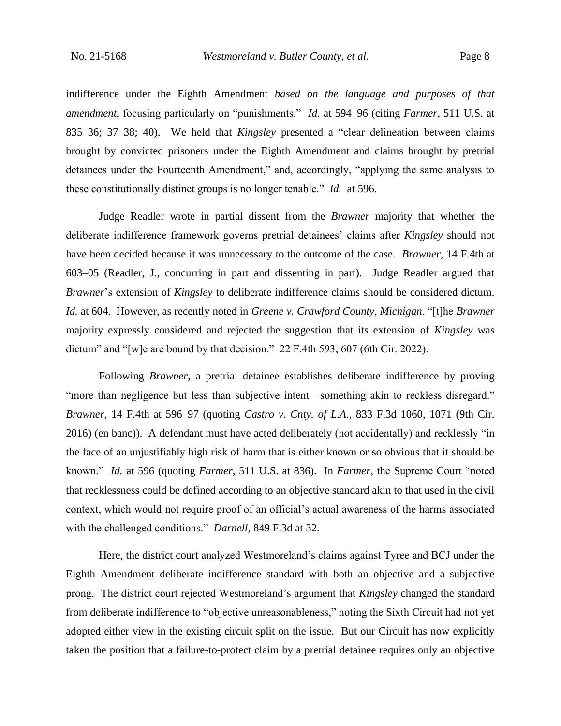indifference under the Eighth Amendment *based on the language and purposes of that amendment*, focusing particularly on "punishments." *Id.* at 594–96 (citing *Farmer*, 511 U.S. at 835–36; 37–38; 40). We held that *Kingsley* presented a "clear delineation between claims brought by convicted prisoners under the Eighth Amendment and claims brought by pretrial detainees under the Fourteenth Amendment," and, accordingly, "applying the same analysis to these constitutionally distinct groups is no longer tenable." *Id.* at 596.

Judge Readler wrote in partial dissent from the *Brawner* majority that whether the deliberate indifference framework governs pretrial detainees' claims after *Kingsley* should not have been decided because it was unnecessary to the outcome of the case. *Brawner*, 14 F.4th at 603–05 (Readler, J., concurring in part and dissenting in part). Judge Readler argued that *Brawner*'s extension of *Kingsley* to deliberate indifference claims should be considered dictum. *Id.* at 604. However, as recently noted in *Greene v. Crawford County, Michigan*, "[t]he *Brawner* majority expressly considered and rejected the suggestion that its extension of *Kingsley* was dictum" and "[w]e are bound by that decision." 22 F.4th 593, 607 (6th Cir. 2022).

Following *Brawner*, a pretrial detainee establishes deliberate indifference by proving "more than negligence but less than subjective intent—something akin to reckless disregard." *Brawner*, 14 F.4th at 596–97 (quoting *Castro v. Cnty. of L.A.*, 833 F.3d 1060, 1071 (9th Cir. 2016) (en banc)). A defendant must have acted deliberately (not accidentally) and recklessly "in the face of an unjustifiably high risk of harm that is either known or so obvious that it should be known." *Id.* at 596 (quoting *Farmer*, 511 U.S. at 836). In *Farmer*, the Supreme Court "noted that recklessness could be defined according to an objective standard akin to that used in the civil context, which would not require proof of an official's actual awareness of the harms associated with the challenged conditions." *Darnell*, 849 F.3d at 32.

Here, the district court analyzed Westmoreland's claims against Tyree and BCJ under the Eighth Amendment deliberate indifference standard with both an objective and a subjective prong. The district court rejected Westmoreland's argument that *Kingsley* changed the standard from deliberate indifference to "objective unreasonableness," noting the Sixth Circuit had not yet adopted either view in the existing circuit split on the issue. But our Circuit has now explicitly taken the position that a failure-to-protect claim by a pretrial detainee requires only an objective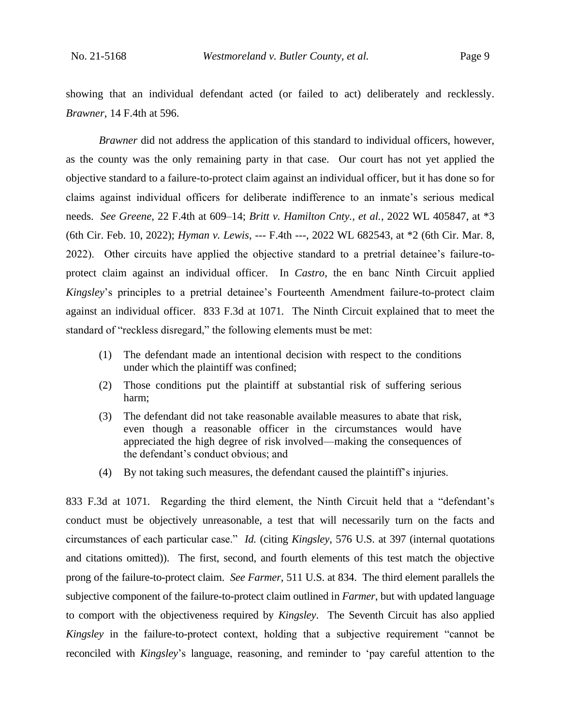showing that an individual defendant acted (or failed to act) deliberately and recklessly. *Brawner*, 14 F.4th at 596.

*Brawner* did not address the application of this standard to individual officers, however, as the county was the only remaining party in that case. Our court has not yet applied the objective standard to a failure-to-protect claim against an individual officer, but it has done so for claims against individual officers for deliberate indifference to an inmate's serious medical needs. *See Greene*, 22 F.4th at 609–14; *Britt v. Hamilton Cnty., et al.*, 2022 WL 405847, at \*3 (6th Cir. Feb. 10, 2022); *Hyman v. Lewis*, --- F.4th ---, 2022 WL 682543, at \*2 (6th Cir. Mar. 8, 2022). Other circuits have applied the objective standard to a pretrial detainee's failure-toprotect claim against an individual officer. In *Castro*, the en banc Ninth Circuit applied *Kingsley*'s principles to a pretrial detainee's Fourteenth Amendment failure-to-protect claim against an individual officer. 833 F.3d at 1071*.* The Ninth Circuit explained that to meet the standard of "reckless disregard," the following elements must be met:

- (1) The defendant made an intentional decision with respect to the conditions under which the plaintiff was confined;
- (2) Those conditions put the plaintiff at substantial risk of suffering serious harm;
- (3) The defendant did not take reasonable available measures to abate that risk, even though a reasonable officer in the circumstances would have appreciated the high degree of risk involved—making the consequences of the defendant's conduct obvious; and
- (4) By not taking such measures, the defendant caused the plaintiff's injuries.

833 F.3d at 1071*.* Regarding the third element, the Ninth Circuit held that a "defendant's conduct must be objectively unreasonable, a test that will necessarily turn on the facts and circumstances of each particular case." *Id.* (citing *Kingsley*, 576 U.S. at 397 (internal quotations and citations omitted)). The first, second, and fourth elements of this test match the objective prong of the failure-to-protect claim. *See Farmer*, 511 U.S. at 834. The third element parallels the subjective component of the failure-to-protect claim outlined in *Farmer*, but with updated language to comport with the objectiveness required by *Kingsley*. The Seventh Circuit has also applied *Kingsley* in the failure-to-protect context, holding that a subjective requirement "cannot be reconciled with *Kingsley*'s language, reasoning, and reminder to 'pay careful attention to the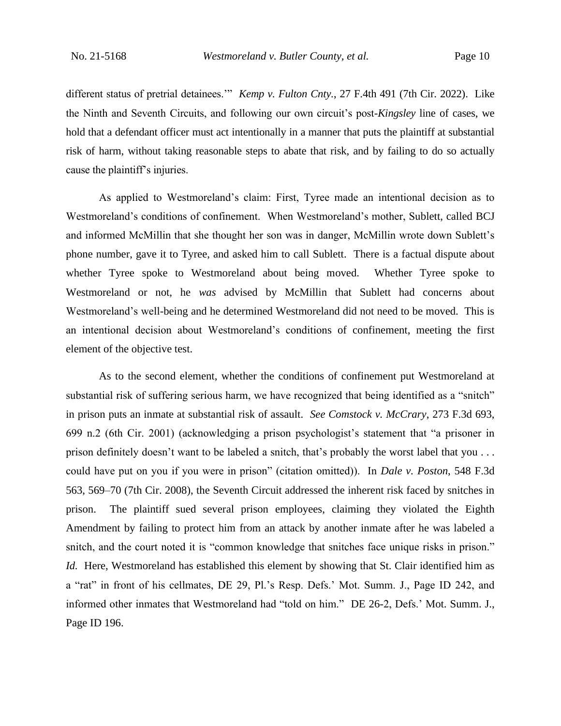different status of pretrial detainees.'" *Kemp v. Fulton Cnty.*, 27 F.4th 491 (7th Cir. 2022). Like the Ninth and Seventh Circuits, and following our own circuit's post-*Kingsley* line of cases, we hold that a defendant officer must act intentionally in a manner that puts the plaintiff at substantial risk of harm, without taking reasonable steps to abate that risk, and by failing to do so actually cause the plaintiff's injuries.

As applied to Westmoreland's claim: First, Tyree made an intentional decision as to Westmoreland's conditions of confinement. When Westmoreland's mother, Sublett, called BCJ and informed McMillin that she thought her son was in danger, McMillin wrote down Sublett's phone number, gave it to Tyree, and asked him to call Sublett. There is a factual dispute about whether Tyree spoke to Westmoreland about being moved. Whether Tyree spoke to Westmoreland or not, he *was* advised by McMillin that Sublett had concerns about Westmoreland's well-being and he determined Westmoreland did not need to be moved. This is an intentional decision about Westmoreland's conditions of confinement, meeting the first element of the objective test.

As to the second element, whether the conditions of confinement put Westmoreland at substantial risk of suffering serious harm, we have recognized that being identified as a "snitch" in prison puts an inmate at substantial risk of assault. *See Comstock v. McCrary*, 273 F.3d 693, 699 n.2 (6th Cir. 2001) (acknowledging a prison psychologist's statement that "a prisoner in prison definitely doesn't want to be labeled a snitch, that's probably the worst label that you . . . could have put on you if you were in prison" (citation omitted)). In *Dale v. Poston*, 548 F.3d 563, 569–70 (7th Cir. 2008), the Seventh Circuit addressed the inherent risk faced by snitches in prison. The plaintiff sued several prison employees, claiming they violated the Eighth Amendment by failing to protect him from an attack by another inmate after he was labeled a snitch, and the court noted it is "common knowledge that snitches face unique risks in prison." *Id.* Here, Westmoreland has established this element by showing that St. Clair identified him as a "rat" in front of his cellmates, DE 29, Pl.'s Resp. Defs.' Mot. Summ. J., Page ID 242, and informed other inmates that Westmoreland had "told on him." DE 26-2, Defs.' Mot. Summ. J., Page ID 196.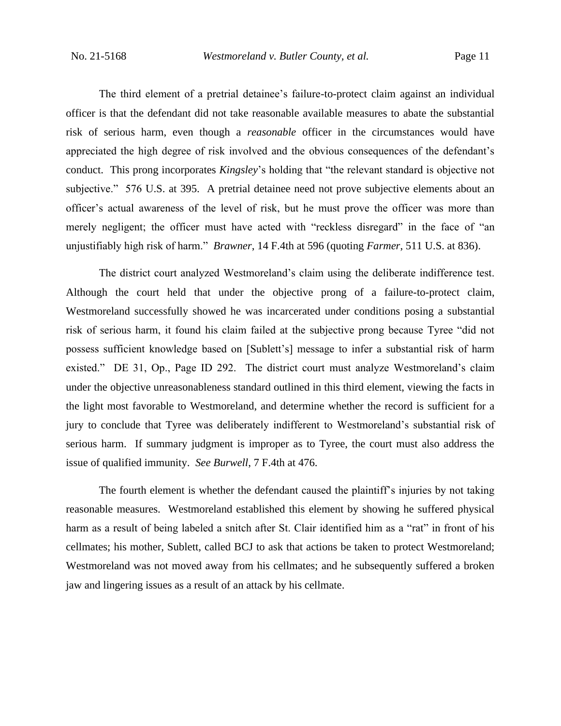The third element of a pretrial detainee's failure-to-protect claim against an individual officer is that the defendant did not take reasonable available measures to abate the substantial risk of serious harm, even though a *reasonable* officer in the circumstances would have appreciated the high degree of risk involved and the obvious consequences of the defendant's conduct. This prong incorporates *Kingsley*'s holding that "the relevant standard is objective not subjective." 576 U.S. at 395. A pretrial detainee need not prove subjective elements about an officer's actual awareness of the level of risk, but he must prove the officer was more than merely negligent; the officer must have acted with "reckless disregard" in the face of "an unjustifiably high risk of harm." *Brawner*, 14 F.4th at 596 (quoting *Farmer*, 511 U.S. at 836).

The district court analyzed Westmoreland's claim using the deliberate indifference test. Although the court held that under the objective prong of a failure-to-protect claim, Westmoreland successfully showed he was incarcerated under conditions posing a substantial risk of serious harm, it found his claim failed at the subjective prong because Tyree "did not possess sufficient knowledge based on [Sublett's] message to infer a substantial risk of harm existed." DE 31, Op., Page ID 292. The district court must analyze Westmoreland's claim under the objective unreasonableness standard outlined in this third element, viewing the facts in the light most favorable to Westmoreland, and determine whether the record is sufficient for a jury to conclude that Tyree was deliberately indifferent to Westmoreland's substantial risk of serious harm. If summary judgment is improper as to Tyree, the court must also address the issue of qualified immunity. *See Burwell*, 7 F.4th at 476.

The fourth element is whether the defendant caused the plaintiff's injuries by not taking reasonable measures. Westmoreland established this element by showing he suffered physical harm as a result of being labeled a snitch after St. Clair identified him as a "rat" in front of his cellmates; his mother, Sublett, called BCJ to ask that actions be taken to protect Westmoreland; Westmoreland was not moved away from his cellmates; and he subsequently suffered a broken jaw and lingering issues as a result of an attack by his cellmate.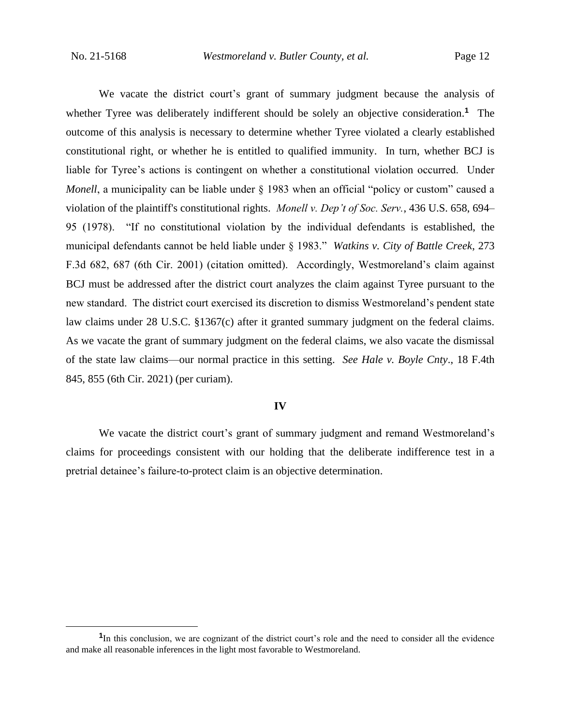We vacate the district court's grant of summary judgment because the analysis of whether Tyree was deliberately indifferent should be solely an objective consideration.**<sup>1</sup>** The outcome of this analysis is necessary to determine whether Tyree violated a clearly established constitutional right, or whether he is entitled to qualified immunity. In turn, whether BCJ is liable for Tyree's actions is contingent on whether a constitutional violation occurred. Under *Monell*, a municipality can be liable under § 1983 when an official "policy or custom" caused a violation of the plaintiff's constitutional rights. *Monell v. Dep't of Soc. Serv.*, 436 U.S. 658, 694– 95 (1978). "If no constitutional violation by the individual defendants is established, the municipal defendants cannot be held liable under § 1983." *Watkins v. City of Battle Creek*, 273 F.3d 682, 687 (6th Cir. 2001) (citation omitted). Accordingly, Westmoreland's claim against BCJ must be addressed after the district court analyzes the claim against Tyree pursuant to the new standard. The district court exercised its discretion to dismiss Westmoreland's pendent state law claims under 28 U.S.C. §1367(c) after it granted summary judgment on the federal claims. As we vacate the grant of summary judgment on the federal claims, we also vacate the dismissal of the state law claims—our normal practice in this setting. *See Hale v. Boyle Cnty*., 18 F.4th 845, 855 (6th Cir. 2021) (per curiam).

### **IV**

We vacate the district court's grant of summary judgment and remand Westmoreland's claims for proceedings consistent with our holding that the deliberate indifference test in a pretrial detainee's failure-to-protect claim is an objective determination.

<sup>&</sup>lt;sup>1</sup>In this conclusion, we are cognizant of the district court's role and the need to consider all the evidence and make all reasonable inferences in the light most favorable to Westmoreland.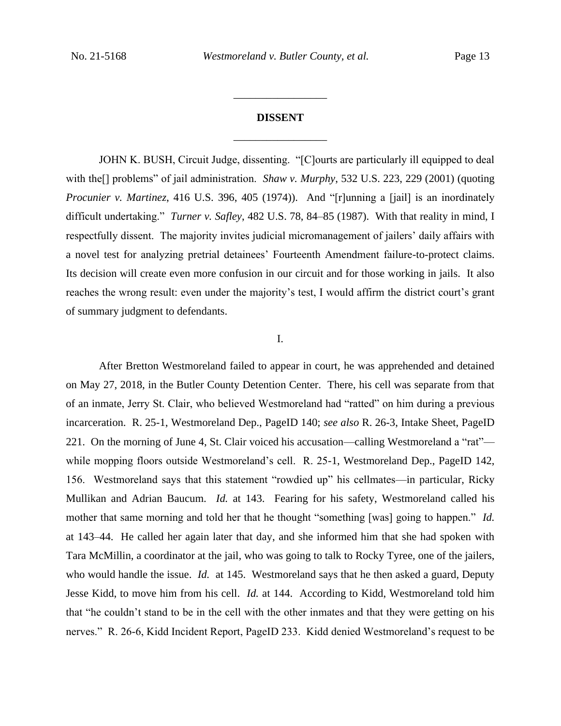# **DISSENT** \_\_\_\_\_\_\_\_\_\_\_\_\_\_\_\_\_

\_\_\_\_\_\_\_\_\_\_\_\_\_\_\_\_\_

JOHN K. BUSH, Circuit Judge, dissenting. "[C]ourts are particularly ill equipped to deal with the[] problems" of jail administration. *Shaw v. Murphy*, 532 U.S. 223, 229 (2001) (quoting *Procunier v. Martinez*, 416 U.S. 396, 405 (1974)). And "[r]unning a [jail] is an inordinately difficult undertaking." *Turner v. Safley*, 482 U.S. 78, 84–85 (1987). With that reality in mind, I respectfully dissent. The majority invites judicial micromanagement of jailers' daily affairs with a novel test for analyzing pretrial detainees' Fourteenth Amendment failure-to-protect claims. Its decision will create even more confusion in our circuit and for those working in jails. It also reaches the wrong result: even under the majority's test, I would affirm the district court's grant of summary judgment to defendants.

### I.

After Bretton Westmoreland failed to appear in court, he was apprehended and detained on May 27, 2018, in the Butler County Detention Center. There, his cell was separate from that of an inmate, Jerry St. Clair, who believed Westmoreland had "ratted" on him during a previous incarceration. R. 25-1, Westmoreland Dep., PageID 140; *see also* R. 26-3, Intake Sheet, PageID 221. On the morning of June 4, St. Clair voiced his accusation—calling Westmoreland a "rat" while mopping floors outside Westmoreland's cell. R. 25-1, Westmoreland Dep., PageID 142, 156. Westmoreland says that this statement "rowdied up" his cellmates—in particular, Ricky Mullikan and Adrian Baucum. *Id.* at 143. Fearing for his safety, Westmoreland called his mother that same morning and told her that he thought "something [was] going to happen." *Id.* at 143–44. He called her again later that day, and she informed him that she had spoken with Tara McMillin, a coordinator at the jail, who was going to talk to Rocky Tyree, one of the jailers, who would handle the issue. *Id.* at 145. Westmoreland says that he then asked a guard, Deputy Jesse Kidd, to move him from his cell. *Id.* at 144. According to Kidd, Westmoreland told him that "he couldn't stand to be in the cell with the other inmates and that they were getting on his nerves." R. 26-6, Kidd Incident Report, PageID 233. Kidd denied Westmoreland's request to be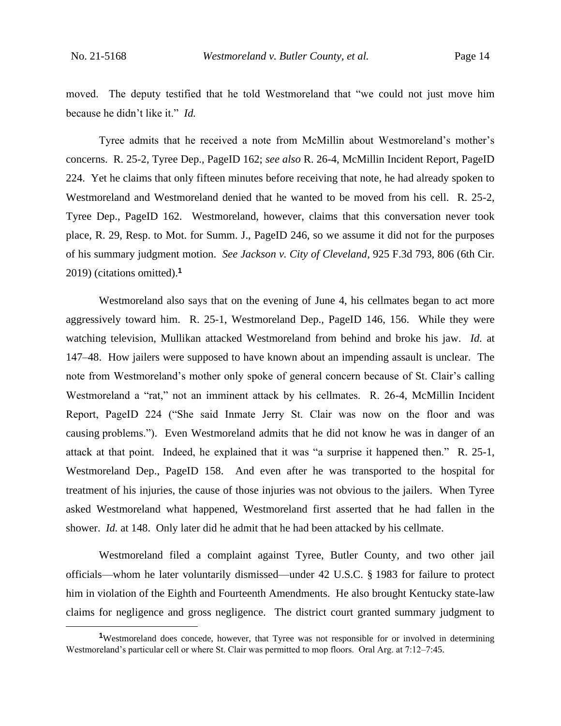moved. The deputy testified that he told Westmoreland that "we could not just move him because he didn't like it." *Id.*

Tyree admits that he received a note from McMillin about Westmoreland's mother's concerns. R. 25-2, Tyree Dep., PageID 162; *see also* R. 26-4, McMillin Incident Report, PageID 224. Yet he claims that only fifteen minutes before receiving that note, he had already spoken to Westmoreland and Westmoreland denied that he wanted to be moved from his cell. R. 25-2, Tyree Dep., PageID 162. Westmoreland, however, claims that this conversation never took place, R. 29, Resp. to Mot. for Summ. J., PageID 246, so we assume it did not for the purposes of his summary judgment motion. *See Jackson v. City of Cleveland*, 925 F.3d 793, 806 (6th Cir. 2019) (citations omitted).**<sup>1</sup>**

Westmoreland also says that on the evening of June 4, his cellmates began to act more aggressively toward him. R. 25-1, Westmoreland Dep., PageID 146, 156. While they were watching television, Mullikan attacked Westmoreland from behind and broke his jaw. *Id.* at 147–48. How jailers were supposed to have known about an impending assault is unclear. The note from Westmoreland's mother only spoke of general concern because of St. Clair's calling Westmoreland a "rat," not an imminent attack by his cellmates. R. 26-4, McMillin Incident Report, PageID 224 ("She said Inmate Jerry St. Clair was now on the floor and was causing problems."). Even Westmoreland admits that he did not know he was in danger of an attack at that point. Indeed, he explained that it was "a surprise it happened then." R. 25-1, Westmoreland Dep., PageID 158. And even after he was transported to the hospital for treatment of his injuries, the cause of those injuries was not obvious to the jailers. When Tyree asked Westmoreland what happened, Westmoreland first asserted that he had fallen in the shower. *Id.* at 148. Only later did he admit that he had been attacked by his cellmate.

Westmoreland filed a complaint against Tyree, Butler County, and two other jail officials—whom he later voluntarily dismissed—under 42 U.S.C. § 1983 for failure to protect him in violation of the Eighth and Fourteenth Amendments. He also brought Kentucky state-law claims for negligence and gross negligence. The district court granted summary judgment to

**<sup>1</sup>**Westmoreland does concede, however, that Tyree was not responsible for or involved in determining Westmoreland's particular cell or where St. Clair was permitted to mop floors. Oral Arg. at 7:12–7:45.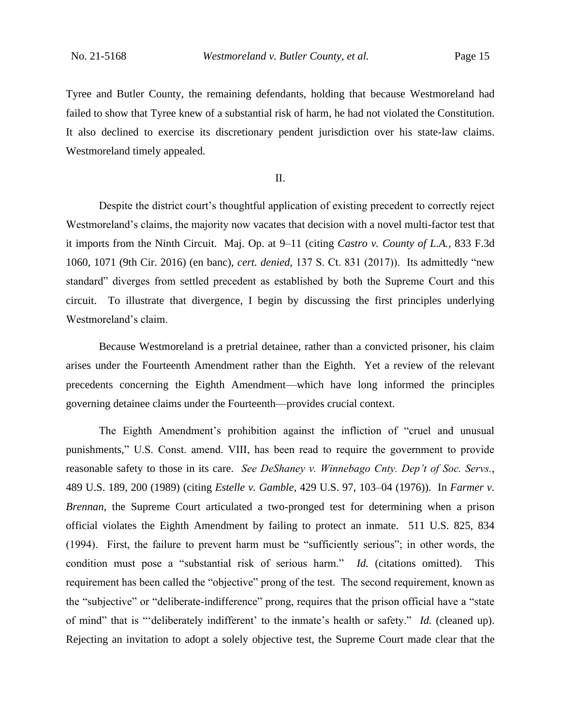Tyree and Butler County, the remaining defendants, holding that because Westmoreland had failed to show that Tyree knew of a substantial risk of harm, he had not violated the Constitution. It also declined to exercise its discretionary pendent jurisdiction over his state-law claims. Westmoreland timely appealed.

II.

Despite the district court's thoughtful application of existing precedent to correctly reject Westmoreland's claims, the majority now vacates that decision with a novel multi-factor test that it imports from the Ninth Circuit. Maj. Op. at 9–11 (citing *Castro v. County of L.A.*, 833 F.3d 1060, 1071 (9th Cir. 2016) (en banc), *cert. denied*, 137 S. Ct. 831 (2017)). Its admittedly "new standard" diverges from settled precedent as established by both the Supreme Court and this circuit. To illustrate that divergence, I begin by discussing the first principles underlying Westmoreland's claim.

Because Westmoreland is a pretrial detainee, rather than a convicted prisoner, his claim arises under the Fourteenth Amendment rather than the Eighth. Yet a review of the relevant precedents concerning the Eighth Amendment—which have long informed the principles governing detainee claims under the Fourteenth—provides crucial context.

The Eighth Amendment's prohibition against the infliction of "cruel and unusual punishments," U.S. Const. amend. VIII, has been read to require the government to provide reasonable safety to those in its care. *See DeShaney v. Winnebago Cnty. Dep't of Soc. Servs.*, 489 U.S. 189, 200 (1989) (citing *Estelle v. Gamble*, 429 U.S. 97, 103–04 (1976)). In *Farmer v. Brennan*, the Supreme Court articulated a two-pronged test for determining when a prison official violates the Eighth Amendment by failing to protect an inmate. 511 U.S. 825, 834 (1994). First, the failure to prevent harm must be "sufficiently serious"; in other words, the condition must pose a "substantial risk of serious harm." *Id.* (citations omitted). This requirement has been called the "objective" prong of the test. The second requirement, known as the "subjective" or "deliberate-indifference" prong, requires that the prison official have a "state of mind" that is "'deliberately indifferent' to the inmate's health or safety." *Id.* (cleaned up). Rejecting an invitation to adopt a solely objective test, the Supreme Court made clear that the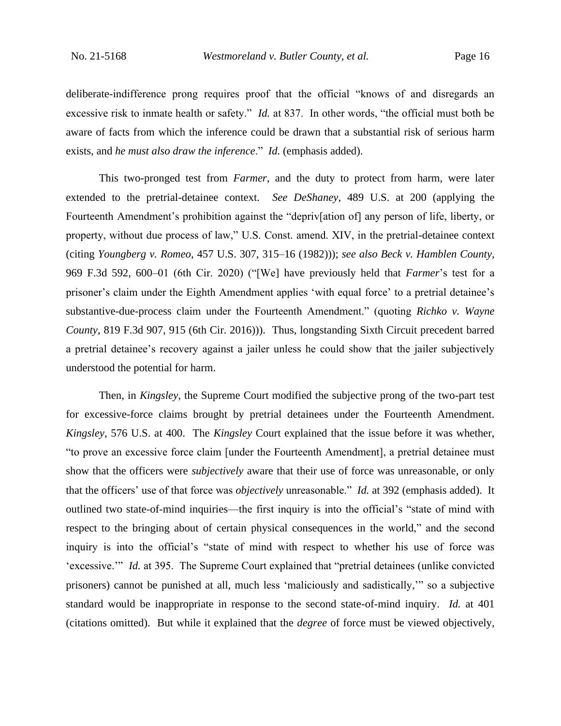deliberate-indifference prong requires proof that the official "knows of and disregards an excessive risk to inmate health or safety." *Id.* at 837. In other words, "the official must both be aware of facts from which the inference could be drawn that a substantial risk of serious harm exists, and *he must also draw the inference*." *Id.* (emphasis added).

This two-pronged test from *Farmer*, and the duty to protect from harm, were later extended to the pretrial-detainee context. *See DeShaney*, 489 U.S. at 200 (applying the Fourteenth Amendment's prohibition against the "depriv[ation of] any person of life, liberty, or property, without due process of law," U.S. Const. amend. XIV, in the pretrial-detainee context (citing *Youngberg v. Romeo*, 457 U.S. 307, 315–16 (1982))); *see also Beck v. Hamblen County*, 969 F.3d 592, 600–01 (6th Cir. 2020) ("[We] have previously held that *Farmer*'s test for a prisoner's claim under the Eighth Amendment applies 'with equal force' to a pretrial detainee's substantive-due-process claim under the Fourteenth Amendment." (quoting *Richko v. Wayne County*, 819 F.3d 907, 915 (6th Cir. 2016))). Thus, longstanding Sixth Circuit precedent barred a pretrial detainee's recovery against a jailer unless he could show that the jailer subjectively understood the potential for harm.

Then, in *Kingsley*, the Supreme Court modified the subjective prong of the two-part test for excessive-force claims brought by pretrial detainees under the Fourteenth Amendment. *Kingsley*, 576 U.S. at 400. The *Kingsley* Court explained that the issue before it was whether, "to prove an excessive force claim [under the Fourteenth Amendment], a pretrial detainee must show that the officers were *subjectively* aware that their use of force was unreasonable, or only that the officers' use of that force was *objectively* unreasonable." *Id.* at 392 (emphasis added). It outlined two state-of-mind inquiries—the first inquiry is into the official's "state of mind with respect to the bringing about of certain physical consequences in the world," and the second inquiry is into the official's "state of mind with respect to whether his use of force was 'excessive.'" *Id.* at 395. The Supreme Court explained that "pretrial detainees (unlike convicted prisoners) cannot be punished at all, much less 'maliciously and sadistically,'" so a subjective standard would be inappropriate in response to the second state-of-mind inquiry. *Id.* at 401 (citations omitted). But while it explained that the *degree* of force must be viewed objectively,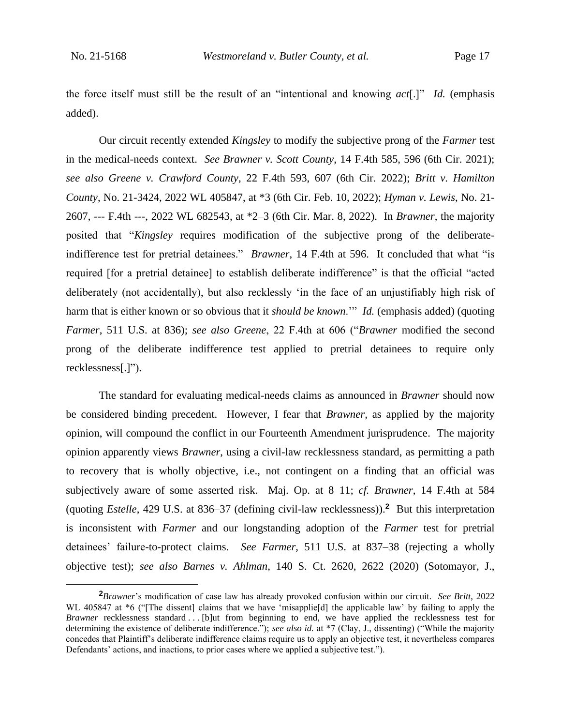the force itself must still be the result of an "intentional and knowing *act*[.]" *Id.* (emphasis added).

Our circuit recently extended *Kingsley* to modify the subjective prong of the *Farmer* test in the medical-needs context. *See Brawner v. Scott County*, 14 F.4th 585, 596 (6th Cir. 2021); *see also Greene v. Crawford County*, 22 F.4th 593, 607 (6th Cir. 2022); *Britt v. Hamilton County*, No. 21-3424, 2022 WL 405847, at \*3 (6th Cir. Feb. 10, 2022); *Hyman v. Lewis*, No. 21- 2607, --- F.4th ---, 2022 WL 682543, at \*2–3 (6th Cir. Mar. 8, 2022). In *Brawner*, the majority posited that "*Kingsley* requires modification of the subjective prong of the deliberateindifference test for pretrial detainees." *Brawner*, 14 F.4th at 596. It concluded that what "is required [for a pretrial detainee] to establish deliberate indifference" is that the official "acted deliberately (not accidentally), but also recklessly 'in the face of an unjustifiably high risk of harm that is either known or so obvious that it *should be known*.'" *Id.* (emphasis added) (quoting *Farmer*, 511 U.S. at 836); *see also Greene*, 22 F.4th at 606 ("*Brawner* modified the second prong of the deliberate indifference test applied to pretrial detainees to require only recklessness[.]").

The standard for evaluating medical-needs claims as announced in *Brawner* should now be considered binding precedent. However, I fear that *Brawner*, as applied by the majority opinion, will compound the conflict in our Fourteenth Amendment jurisprudence. The majority opinion apparently views *Brawner*, using a civil-law recklessness standard, as permitting a path to recovery that is wholly objective, i.e., not contingent on a finding that an official was subjectively aware of some asserted risk. Maj. Op. at 8–11; *cf. Brawner*, 14 F.4th at 584 (quoting *Estelle*, 429 U.S. at 836–37 (defining civil-law recklessness)).**<sup>2</sup>** But this interpretation is inconsistent with *Farmer* and our longstanding adoption of the *Farmer* test for pretrial detainees' failure-to-protect claims. *See Farmer*, 511 U.S. at 837–38 (rejecting a wholly objective test); *see also Barnes v. Ahlman*, 140 S. Ct. 2620, 2622 (2020) (Sotomayor, J.,

**<sup>2</sup>***Brawner*'s modification of case law has already provoked confusion within our circuit. *See Britt*, 2022 WL 405847 at \*6 ("The dissentl claims that we have 'misapplie<sup>[d]</sup> the applicable law' by failing to apply the *Brawner* recklessness standard . . . [b]ut from beginning to end, we have applied the recklessness test for determining the existence of deliberate indifference."); *see also id.* at \*7 (Clay, J., dissenting) ("While the majority concedes that Plaintiff's deliberate indifference claims require us to apply an objective test, it nevertheless compares Defendants' actions, and inactions, to prior cases where we applied a subjective test.").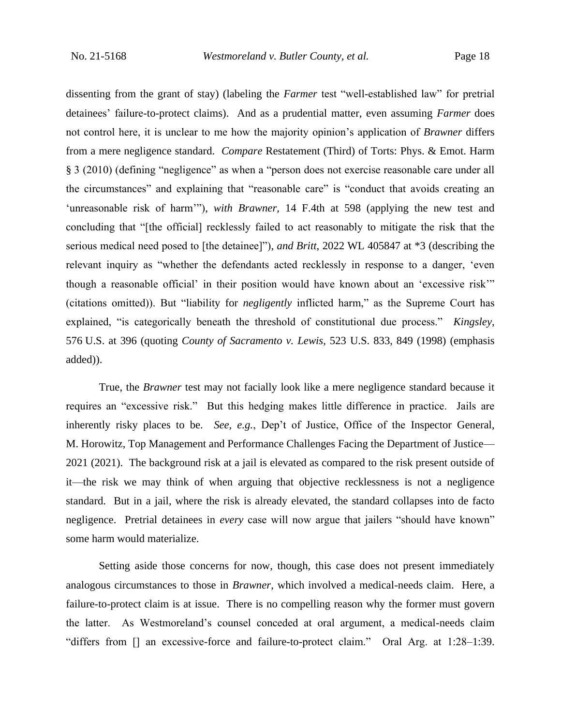dissenting from the grant of stay) (labeling the *Farmer* test "well-established law" for pretrial detainees' failure-to-protect claims). And as a prudential matter, even assuming *Farmer* does not control here, it is unclear to me how the majority opinion's application of *Brawner* differs from a mere negligence standard. *Compare* Restatement (Third) of Torts: Phys. & Emot. Harm § 3 (2010) (defining "negligence" as when a "person does not exercise reasonable care under all the circumstances" and explaining that "reasonable care" is "conduct that avoids creating an 'unreasonable risk of harm'"), *with Brawner*, 14 F.4th at 598 (applying the new test and concluding that "[the official] recklessly failed to act reasonably to mitigate the risk that the serious medical need posed to [the detainee]"), *and Britt*, 2022 WL 405847 at \*3 (describing the relevant inquiry as "whether the defendants acted recklessly in response to a danger, 'even though a reasonable official' in their position would have known about an 'excessive risk'" (citations omitted)). But "liability for *negligently* inflicted harm," as the Supreme Court has explained, "is categorically beneath the threshold of constitutional due process." *Kingsley*, 576 U.S. at 396 (quoting *County of Sacramento v. Lewis*, 523 U.S. 833, 849 (1998) (emphasis added)).

True, the *Brawner* test may not facially look like a mere negligence standard because it requires an "excessive risk." But this hedging makes little difference in practice. Jails are inherently risky places to be. *See, e.g.*, Dep't of Justice, Office of the Inspector General, M. Horowitz, Top Management and Performance Challenges Facing the Department of Justice— 2021 (2021). The background risk at a jail is elevated as compared to the risk present outside of it—the risk we may think of when arguing that objective recklessness is not a negligence standard. But in a jail, where the risk is already elevated, the standard collapses into de facto negligence. Pretrial detainees in *every* case will now argue that jailers "should have known" some harm would materialize.

Setting aside those concerns for now, though, this case does not present immediately analogous circumstances to those in *Brawner*, which involved a medical-needs claim. Here, a failure-to-protect claim is at issue. There is no compelling reason why the former must govern the latter. As Westmoreland's counsel conceded at oral argument, a medical-needs claim "differs from [] an excessive-force and failure-to-protect claim." Oral Arg. at 1:28–1:39.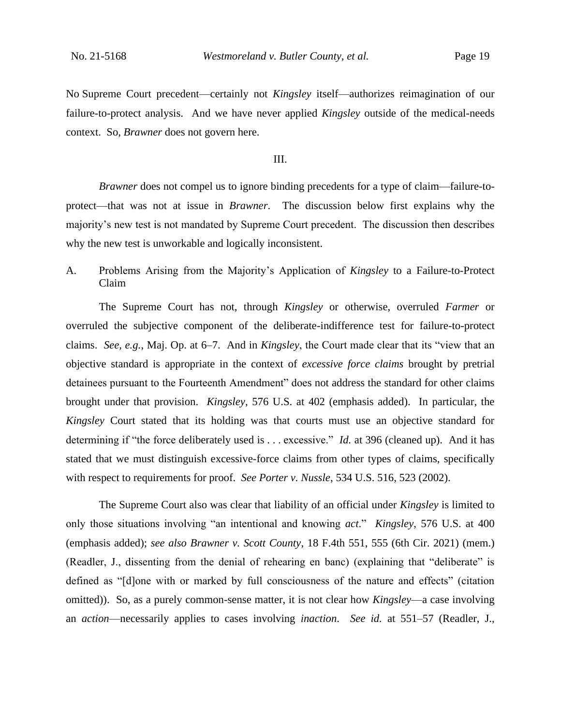No Supreme Court precedent—certainly not *Kingsley* itself—authorizes reimagination of our failure-to-protect analysis. And we have never applied *Kingsley* outside of the medical-needs context. So, *Brawner* does not govern here.

III.

*Brawner* does not compel us to ignore binding precedents for a type of claim—failure-toprotect—that was not at issue in *Brawner*. The discussion below first explains why the majority's new test is not mandated by Supreme Court precedent. The discussion then describes why the new test is unworkable and logically inconsistent.

A. Problems Arising from the Majority's Application of *Kingsley* to a Failure-to-Protect Claim

The Supreme Court has not, through *Kingsley* or otherwise, overruled *Farmer* or overruled the subjective component of the deliberate-indifference test for failure-to-protect claims. *See, e.g.*, Maj. Op. at 6–7. And in *Kingsley*, the Court made clear that its "view that an objective standard is appropriate in the context of *excessive force claims* brought by pretrial detainees pursuant to the Fourteenth Amendment" does not address the standard for other claims brought under that provision. *Kingsley*, 576 U.S. at 402 (emphasis added). In particular, the *Kingsley* Court stated that its holding was that courts must use an objective standard for determining if "the force deliberately used is . . . excessive." *Id.* at 396 (cleaned up). And it has stated that we must distinguish excessive-force claims from other types of claims, specifically with respect to requirements for proof. *See Porter v. Nussle*, 534 U.S. 516, 523 (2002).

The Supreme Court also was clear that liability of an official under *Kingsley* is limited to only those situations involving "an intentional and knowing *act*." *Kingsley*, 576 U.S. at 400 (emphasis added); *see also Brawner v. Scott County*, 18 F.4th 551, 555 (6th Cir. 2021) (mem.) (Readler, J., dissenting from the denial of rehearing en banc) (explaining that "deliberate" is defined as "[d]one with or marked by full consciousness of the nature and effects" (citation omitted)). So, as a purely common-sense matter, it is not clear how *Kingsley*—a case involving an *action*—necessarily applies to cases involving *inaction*. *See id.* at 551–57 (Readler, J.,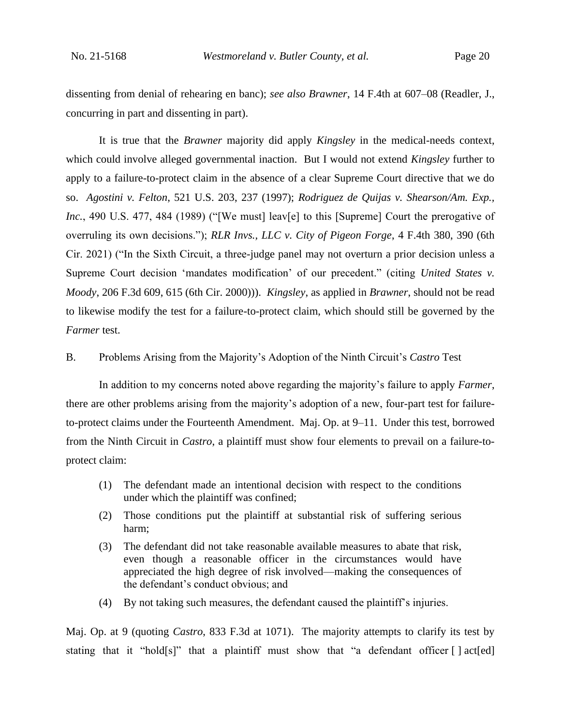dissenting from denial of rehearing en banc); *see also Brawner*, 14 F.4th at 607–08 (Readler, J., concurring in part and dissenting in part).

It is true that the *Brawner* majority did apply *Kingsley* in the medical-needs context, which could involve alleged governmental inaction. But I would not extend *Kingsley* further to apply to a failure-to-protect claim in the absence of a clear Supreme Court directive that we do so. *Agostini v. Felton*, 521 U.S. 203, 237 (1997); *Rodriguez de Quijas v. Shearson/Am. Exp.,*  Inc., 490 U.S. 477, 484 (1989) ("[We must] leav[e] to this [Supreme] Court the prerogative of overruling its own decisions."); *RLR Invs., LLC v. City of Pigeon Forge*, 4 F.4th 380, 390 (6th Cir. 2021) ("In the Sixth Circuit, a three-judge panel may not overturn a prior decision unless a Supreme Court decision 'mandates modification' of our precedent." (citing *United States v. Moody*, 206 F.3d 609, 615 (6th Cir. 2000))). *Kingsley*, as applied in *Brawner*, should not be read to likewise modify the test for a failure-to-protect claim, which should still be governed by the *Farmer* test.

## B. Problems Arising from the Majority's Adoption of the Ninth Circuit's *Castro* Test

In addition to my concerns noted above regarding the majority's failure to apply *Farmer*, there are other problems arising from the majority's adoption of a new, four-part test for failureto-protect claims under the Fourteenth Amendment. Maj. Op. at 9–11. Under this test, borrowed from the Ninth Circuit in *Castro*, a plaintiff must show four elements to prevail on a failure-toprotect claim:

- (1) The defendant made an intentional decision with respect to the conditions under which the plaintiff was confined;
- (2) Those conditions put the plaintiff at substantial risk of suffering serious harm;
- (3) The defendant did not take reasonable available measures to abate that risk, even though a reasonable officer in the circumstances would have appreciated the high degree of risk involved—making the consequences of the defendant's conduct obvious; and
- (4) By not taking such measures, the defendant caused the plaintiff's injuries.

Maj. Op. at 9 (quoting *Castro*, 833 F.3d at 1071). The majority attempts to clarify its test by stating that it "hold[s]" that a plaintiff must show that "a defendant officer [] act[ed]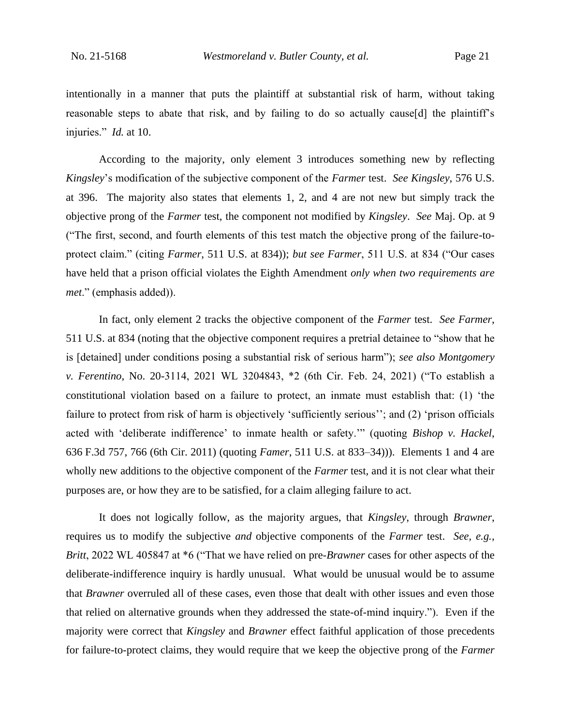intentionally in a manner that puts the plaintiff at substantial risk of harm, without taking reasonable steps to abate that risk, and by failing to do so actually cause[d] the plaintiff's injuries." *Id.* at 10.

According to the majority, only element 3 introduces something new by reflecting *Kingsley*'s modification of the subjective component of the *Farmer* test. *See Kingsley*, 576 U.S. at 396. The majority also states that elements 1, 2, and 4 are not new but simply track the objective prong of the *Farmer* test, the component not modified by *Kingsley*. *See* Maj. Op. at 9 ("The first, second, and fourth elements of this test match the objective prong of the failure-toprotect claim." (citing *Farmer*, 511 U.S. at 834)); *but see Farmer*, 511 U.S. at 834 ("Our cases have held that a prison official violates the Eighth Amendment *only when two requirements are met*." (emphasis added)).

In fact, only element 2 tracks the objective component of the *Farmer* test. *See Farmer*, 511 U.S. at 834 (noting that the objective component requires a pretrial detainee to "show that he is [detained] under conditions posing a substantial risk of serious harm"); *see also Montgomery v. Ferentino*, No. 20-3114, 2021 WL 3204843, \*2 (6th Cir. Feb. 24, 2021) ("To establish a constitutional violation based on a failure to protect, an inmate must establish that: (1) 'the failure to protect from risk of harm is objectively 'sufficiently serious''; and (2) 'prison officials acted with 'deliberate indifference' to inmate health or safety.'" (quoting *Bishop v. Hackel*, 636 F.3d 757, 766 (6th Cir. 2011) (quoting *Famer*, 511 U.S. at 833–34))). Elements 1 and 4 are wholly new additions to the objective component of the *Farmer* test, and it is not clear what their purposes are, or how they are to be satisfied, for a claim alleging failure to act.

It does not logically follow, as the majority argues, that *Kingsley*, through *Brawner*, requires us to modify the subjective *and* objective components of the *Farmer* test. *See, e.g.*, *Britt*, 2022 WL 405847 at \*6 ("That we have relied on pre-*Brawner* cases for other aspects of the deliberate-indifference inquiry is hardly unusual. What would be unusual would be to assume that *Brawner* overruled all of these cases, even those that dealt with other issues and even those that relied on alternative grounds when they addressed the state-of-mind inquiry.").Even if the majority were correct that *Kingsley* and *Brawner* effect faithful application of those precedents for failure-to-protect claims, they would require that we keep the objective prong of the *Farmer*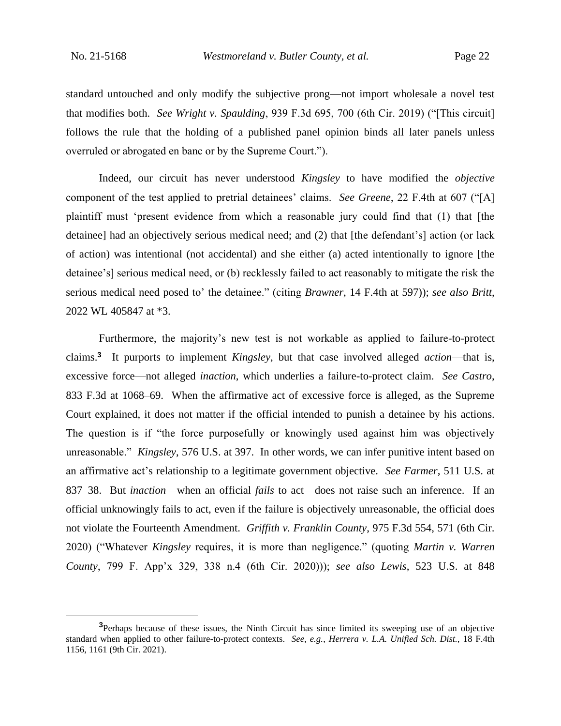standard untouched and only modify the subjective prong—not import wholesale a novel test that modifies both. *See Wright v. Spaulding*, 939 F.3d 695, 700 (6th Cir. 2019) ("[This circuit] follows the rule that the holding of a published panel opinion binds all later panels unless overruled or abrogated en banc or by the Supreme Court.").

Indeed, our circuit has never understood *Kingsley* to have modified the *objective* component of the test applied to pretrial detainees' claims. *See Greene*, 22 F.4th at 607 ("[A] plaintiff must 'present evidence from which a reasonable jury could find that (1) that [the detainee] had an objectively serious medical need; and (2) that [the defendant's] action (or lack of action) was intentional (not accidental) and she either (a) acted intentionally to ignore [the detainee's] serious medical need, or (b) recklessly failed to act reasonably to mitigate the risk the serious medical need posed to' the detainee." (citing *Brawner*, 14 F.4th at 597)); *see also Britt*, 2022 WL 405847 at \*3.

Furthermore, the majority's new test is not workable as applied to failure-to-protect claims.**<sup>3</sup>** It purports to implement *Kingsley*, but that case involved alleged *action*—that is, excessive force—not alleged *inaction*, which underlies a failure-to-protect claim. *See Castro*, 833 F.3d at 1068–69. When the affirmative act of excessive force is alleged, as the Supreme Court explained, it does not matter if the official intended to punish a detainee by his actions. The question is if "the force purposefully or knowingly used against him was objectively unreasonable." *Kingsley*, 576 U.S. at 397. In other words, we can infer punitive intent based on an affirmative act's relationship to a legitimate government objective. *See Farmer*, 511 U.S. at 837–38. But *inaction*—when an official *fails* to act—does not raise such an inference. If an official unknowingly fails to act, even if the failure is objectively unreasonable, the official does not violate the Fourteenth Amendment. *Griffith v. Franklin County*, 975 F.3d 554, 571 (6th Cir. 2020) ("Whatever *Kingsley* requires, it is more than negligence." (quoting *Martin v. Warren County*, 799 F. App'x 329, 338 n.4 (6th Cir. 2020))); *see also Lewis*, 523 U.S. at 848

**<sup>3</sup>**Perhaps because of these issues, the Ninth Circuit has since limited its sweeping use of an objective standard when applied to other failure-to-protect contexts. *See, e.g.*, *Herrera v. L.A. Unified Sch. Dist.*, 18 F.4th 1156, 1161 (9th Cir. 2021).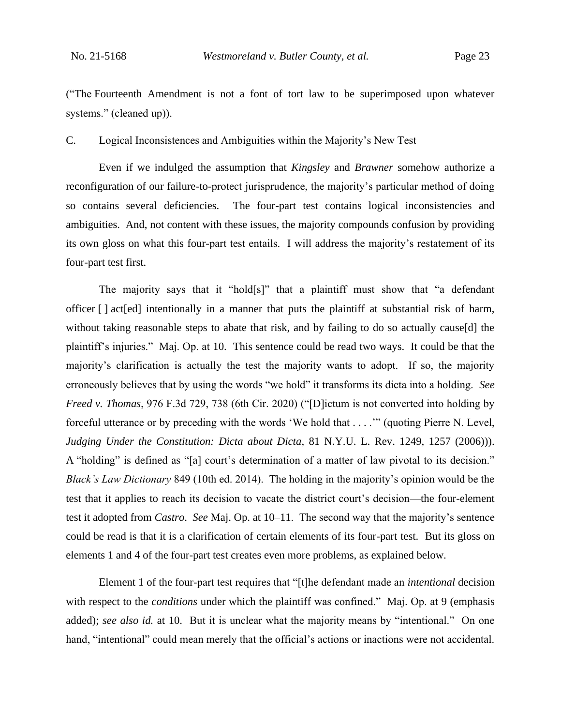("The Fourteenth Amendment is not a font of tort law to be superimposed upon whatever systems." (cleaned up)).

C. Logical Inconsistences and Ambiguities within the Majority's New Test

Even if we indulged the assumption that *Kingsley* and *Brawner* somehow authorize a reconfiguration of our failure-to-protect jurisprudence, the majority's particular method of doing so contains several deficiencies. The four-part test contains logical inconsistencies and ambiguities. And, not content with these issues, the majority compounds confusion by providing its own gloss on what this four-part test entails. I will address the majority's restatement of its four-part test first.

The majority says that it "hold[s]" that a plaintiff must show that "a defendant officer [ ] act[ed] intentionally in a manner that puts the plaintiff at substantial risk of harm, without taking reasonable steps to abate that risk, and by failing to do so actually cause[d] the plaintiff's injuries." Maj. Op. at 10. This sentence could be read two ways. It could be that the majority's clarification is actually the test the majority wants to adopt. If so, the majority erroneously believes that by using the words "we hold" it transforms its dicta into a holding. *See Freed v. Thomas*, 976 F.3d 729, 738 (6th Cir. 2020) ("[D]ictum is not converted into holding by forceful utterance or by preceding with the words 'We hold that . . . .'" (quoting Pierre N. Level, *Judging Under the Constitution: Dicta about Dicta*, 81 N.Y.U. L. Rev. 1249, 1257 (2006))). A "holding" is defined as "[a] court's determination of a matter of law pivotal to its decision." *Black's Law Dictionary* 849 (10th ed. 2014). The holding in the majority's opinion would be the test that it applies to reach its decision to vacate the district court's decision—the four-element test it adopted from *Castro*. *See* Maj. Op. at 10–11. The second way that the majority's sentence could be read is that it is a clarification of certain elements of its four-part test. But its gloss on elements 1 and 4 of the four-part test creates even more problems, as explained below.

Element 1 of the four-part test requires that "[t]he defendant made an *intentional* decision with respect to the *conditions* under which the plaintiff was confined." Maj. Op. at 9 (emphasis added); *see also id.* at 10. But it is unclear what the majority means by "intentional." On one hand, "intentional" could mean merely that the official's actions or inactions were not accidental.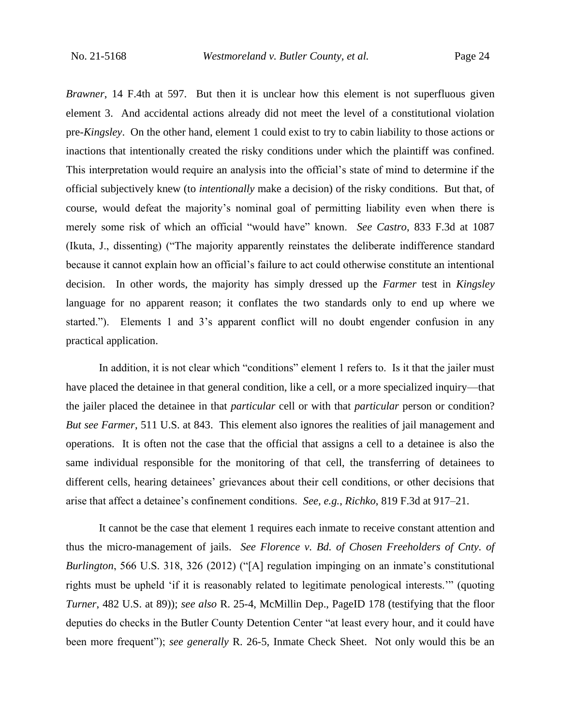*Brawner*, 14 F.4th at 597. But then it is unclear how this element is not superfluous given element 3. And accidental actions already did not meet the level of a constitutional violation pre-*Kingsley*. On the other hand, element 1 could exist to try to cabin liability to those actions or inactions that intentionally created the risky conditions under which the plaintiff was confined. This interpretation would require an analysis into the official's state of mind to determine if the official subjectively knew (to *intentionally* make a decision) of the risky conditions. But that, of course, would defeat the majority's nominal goal of permitting liability even when there is merely some risk of which an official "would have" known. *See Castro*, 833 F.3d at 1087 (Ikuta, J., dissenting) ("The majority apparently reinstates the deliberate indifference standard because it cannot explain how an official's failure to act could otherwise constitute an intentional decision. In other words, the majority has simply dressed up the *Farmer* test in *Kingsley* language for no apparent reason; it conflates the two standards only to end up where we started."). Elements 1 and 3's apparent conflict will no doubt engender confusion in any practical application.

In addition, it is not clear which "conditions" element 1 refers to. Is it that the jailer must have placed the detainee in that general condition, like a cell, or a more specialized inquiry—that the jailer placed the detainee in that *particular* cell or with that *particular* person or condition? *But see Farmer*, 511 U.S. at 843. This element also ignores the realities of jail management and operations. It is often not the case that the official that assigns a cell to a detainee is also the same individual responsible for the monitoring of that cell, the transferring of detainees to different cells, hearing detainees' grievances about their cell conditions, or other decisions that arise that affect a detainee's confinement conditions. *See, e.g.*, *Richko*, 819 F.3d at 917–21.

It cannot be the case that element 1 requires each inmate to receive constant attention and thus the micro-management of jails. *See Florence v. Bd. of Chosen Freeholders of Cnty. of Burlington*, 566 U.S. 318, 326 (2012) ("[A] regulation impinging on an inmate's constitutional rights must be upheld 'if it is reasonably related to legitimate penological interests.'" (quoting *Turner*, 482 U.S. at 89)); *see also* R. 25-4, McMillin Dep., PageID 178 (testifying that the floor deputies do checks in the Butler County Detention Center "at least every hour, and it could have been more frequent"); *see generally* R. 26-5, Inmate Check Sheet. Not only would this be an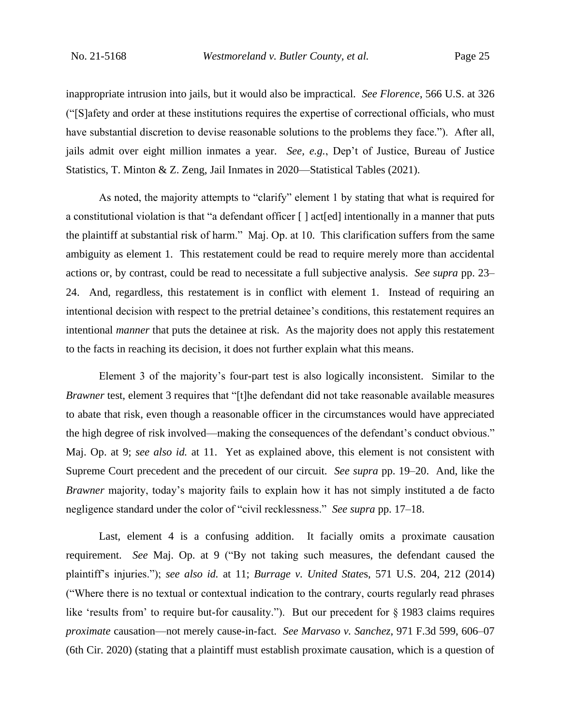inappropriate intrusion into jails, but it would also be impractical. *See Florence*, 566 U.S. at 326 ("[S]afety and order at these institutions requires the expertise of correctional officials, who must have substantial discretion to devise reasonable solutions to the problems they face."). After all, jails admit over eight million inmates a year. *See, e.g.*, Dep't of Justice, Bureau of Justice Statistics, T. Minton & Z. Zeng, Jail Inmates in 2020—Statistical Tables (2021).

As noted, the majority attempts to "clarify" element 1 by stating that what is required for a constitutional violation is that "a defendant officer [ ] act[ed] intentionally in a manner that puts the plaintiff at substantial risk of harm." Maj. Op. at 10. This clarification suffers from the same ambiguity as element 1. This restatement could be read to require merely more than accidental actions or, by contrast, could be read to necessitate a full subjective analysis. *See supra* pp. 23– 24. And, regardless, this restatement is in conflict with element 1. Instead of requiring an intentional decision with respect to the pretrial detainee's conditions, this restatement requires an intentional *manner* that puts the detainee at risk. As the majority does not apply this restatement to the facts in reaching its decision, it does not further explain what this means.

Element 3 of the majority's four-part test is also logically inconsistent. Similar to the *Brawner* test, element 3 requires that "[t]he defendant did not take reasonable available measures to abate that risk, even though a reasonable officer in the circumstances would have appreciated the high degree of risk involved—making the consequences of the defendant's conduct obvious." Maj. Op. at 9; *see also id.* at 11. Yet as explained above, this element is not consistent with Supreme Court precedent and the precedent of our circuit. *See supra* pp. 19–20. And, like the *Brawner* majority, today's majority fails to explain how it has not simply instituted a de facto negligence standard under the color of "civil recklessness." *See supra* pp. 17–18.

Last, element 4 is a confusing addition. It facially omits a proximate causation requirement. *See* Maj. Op. at 9 ("By not taking such measures, the defendant caused the plaintiff's injuries."); *see also id.* at 11; *Burrage v. United State*s, 571 U.S. 204, 212 (2014) ("Where there is no textual or contextual indication to the contrary, courts regularly read phrases like 'results from' to require but-for causality."). But our precedent for § 1983 claims requires *proximate* causation—not merely cause-in-fact. *See Marvaso v. Sanchez*, 971 F.3d 599, 606–07 (6th Cir. 2020) (stating that a plaintiff must establish proximate causation, which is a question of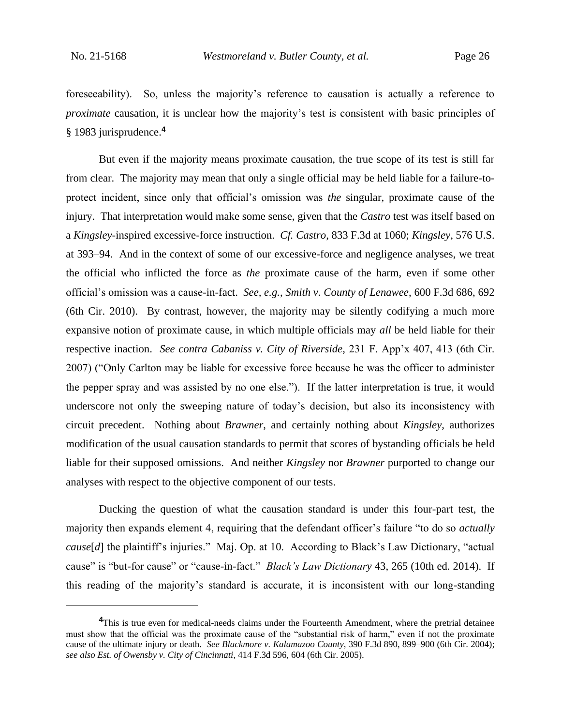foreseeability). So, unless the majority's reference to causation is actually a reference to *proximate* causation, it is unclear how the majority's test is consistent with basic principles of § 1983 jurisprudence.**<sup>4</sup>**

But even if the majority means proximate causation, the true scope of its test is still far from clear. The majority may mean that only a single official may be held liable for a failure-toprotect incident, since only that official's omission was *the* singular, proximate cause of the injury. That interpretation would make some sense, given that the *Castro* test was itself based on a *Kingsley*-inspired excessive-force instruction. *Cf. Castro*, 833 F.3d at 1060; *Kingsley*, 576 U.S. at 393–94. And in the context of some of our excessive-force and negligence analyses, we treat the official who inflicted the force as *the* proximate cause of the harm, even if some other official's omission was a cause-in-fact. *See, e.g.*, *Smith v. County of Lenawee*, 600 F.3d 686, 692 (6th Cir. 2010). By contrast, however, the majority may be silently codifying a much more expansive notion of proximate cause, in which multiple officials may *all* be held liable for their respective inaction. *See contra Cabaniss v. City of Riverside*, 231 F. App'x 407, 413 (6th Cir. 2007) ("Only Carlton may be liable for excessive force because he was the officer to administer the pepper spray and was assisted by no one else."). If the latter interpretation is true, it would underscore not only the sweeping nature of today's decision, but also its inconsistency with circuit precedent. Nothing about *Brawner*, and certainly nothing about *Kingsley*, authorizes modification of the usual causation standards to permit that scores of bystanding officials be held liable for their supposed omissions. And neither *Kingsley* nor *Brawner* purported to change our analyses with respect to the objective component of our tests.

Ducking the question of what the causation standard is under this four-part test, the majority then expands element 4, requiring that the defendant officer's failure "to do so *actually cause*[*d*] the plaintiff's injuries." Maj. Op. at 10. According to Black's Law Dictionary, "actual cause" is "but-for cause" or "cause-in-fact." *Black's Law Dictionary* 43, 265 (10th ed. 2014). If this reading of the majority's standard is accurate, it is inconsistent with our long-standing

**<sup>4</sup>**This is true even for medical-needs claims under the Fourteenth Amendment, where the pretrial detainee must show that the official was the proximate cause of the "substantial risk of harm," even if not the proximate cause of the ultimate injury or death. *See Blackmore v. Kalamazoo County*, 390 F.3d 890, 899–900 (6th Cir. 2004); *see also Est. of Owensby v. City of Cincinnati*, 414 F.3d 596, 604 (6th Cir. 2005).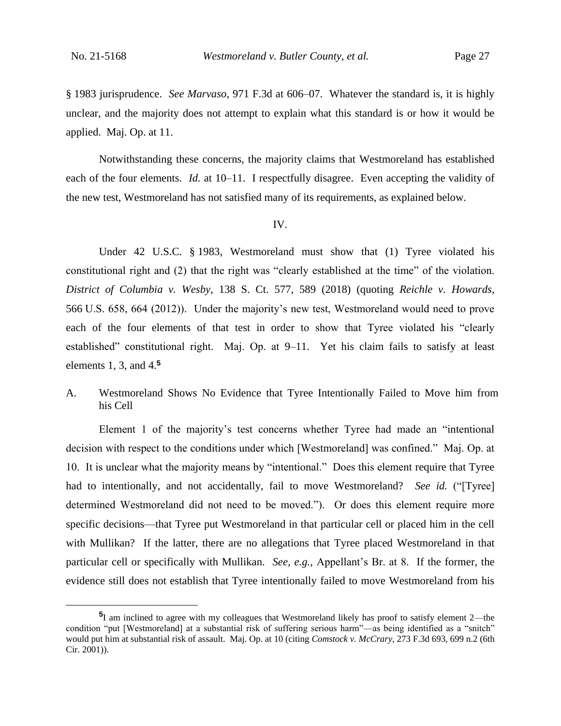§ 1983 jurisprudence. *See Marvaso*, 971 F.3d at 606–07. Whatever the standard is, it is highly unclear, and the majority does not attempt to explain what this standard is or how it would be applied. Maj. Op. at 11.

Notwithstanding these concerns, the majority claims that Westmoreland has established each of the four elements. *Id.* at 10–11. I respectfully disagree. Even accepting the validity of the new test, Westmoreland has not satisfied many of its requirements, as explained below.

### IV.

Under 42 U.S.C. § 1983, Westmoreland must show that (1) Tyree violated his constitutional right and (2) that the right was "clearly established at the time" of the violation. *District of Columbia v. Wesby*, 138 S. Ct. 577, 589 (2018) (quoting *Reichle v. Howards*, 566 U.S. 658, 664 (2012)). Under the majority's new test, Westmoreland would need to prove each of the four elements of that test in order to show that Tyree violated his "clearly established" constitutional right. Maj. Op. at 9–11. Yet his claim fails to satisfy at least elements 1, 3, and 4.**<sup>5</sup>**

# A. Westmoreland Shows No Evidence that Tyree Intentionally Failed to Move him from his Cell

Element 1 of the majority's test concerns whether Tyree had made an "intentional decision with respect to the conditions under which [Westmoreland] was confined." Maj. Op. at 10. It is unclear what the majority means by "intentional." Does this element require that Tyree had to intentionally, and not accidentally, fail to move Westmoreland? *See id.* ("[Tyree] determined Westmoreland did not need to be moved."). Or does this element require more specific decisions—that Tyree put Westmoreland in that particular cell or placed him in the cell with Mullikan? If the latter, there are no allegations that Tyree placed Westmoreland in that particular cell or specifically with Mullikan. *See, e.g.*, Appellant's Br. at 8. If the former, the evidence still does not establish that Tyree intentionally failed to move Westmoreland from his

**<sup>5</sup>** I am inclined to agree with my colleagues that Westmoreland likely has proof to satisfy element 2—the condition "put [Westmoreland] at a substantial risk of suffering serious harm"—as being identified as a "snitch" would put him at substantial risk of assault. Maj. Op. at 10 (citing *Comstock v. McCrary*, 273 F.3d 693, 699 n.2 (6th Cir. 2001)).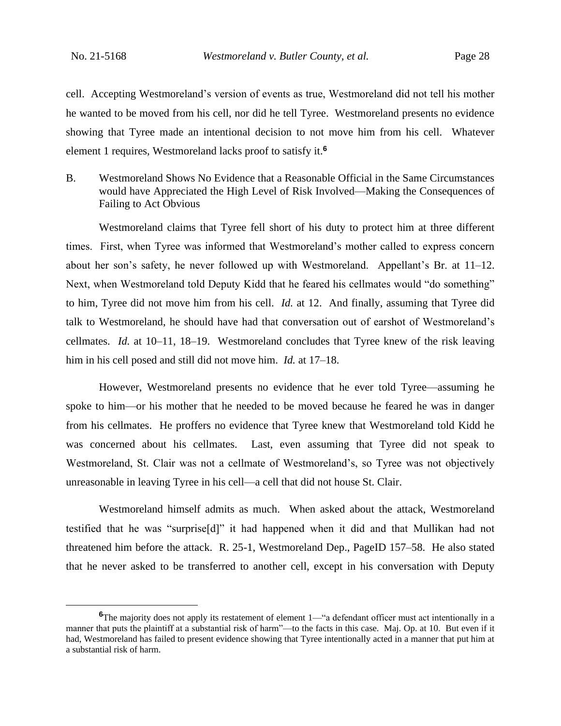cell. Accepting Westmoreland's version of events as true, Westmoreland did not tell his mother he wanted to be moved from his cell, nor did he tell Tyree. Westmoreland presents no evidence showing that Tyree made an intentional decision to not move him from his cell. Whatever element 1 requires, Westmoreland lacks proof to satisfy it.**<sup>6</sup>**

B. Westmoreland Shows No Evidence that a Reasonable Official in the Same Circumstances would have Appreciated the High Level of Risk Involved—Making the Consequences of Failing to Act Obvious

Westmoreland claims that Tyree fell short of his duty to protect him at three different times. First, when Tyree was informed that Westmoreland's mother called to express concern about her son's safety, he never followed up with Westmoreland. Appellant's Br. at 11–12. Next, when Westmoreland told Deputy Kidd that he feared his cellmates would "do something" to him, Tyree did not move him from his cell. *Id.* at 12. And finally, assuming that Tyree did talk to Westmoreland, he should have had that conversation out of earshot of Westmoreland's cellmates. *Id.* at 10–11, 18–19. Westmoreland concludes that Tyree knew of the risk leaving him in his cell posed and still did not move him. *Id.* at 17–18.

However, Westmoreland presents no evidence that he ever told Tyree—assuming he spoke to him—or his mother that he needed to be moved because he feared he was in danger from his cellmates. He proffers no evidence that Tyree knew that Westmoreland told Kidd he was concerned about his cellmates. Last, even assuming that Tyree did not speak to Westmoreland, St. Clair was not a cellmate of Westmoreland's, so Tyree was not objectively unreasonable in leaving Tyree in his cell—a cell that did not house St. Clair.

Westmoreland himself admits as much. When asked about the attack, Westmoreland testified that he was "surprise[d]" it had happened when it did and that Mullikan had not threatened him before the attack. R. 25-1, Westmoreland Dep., PageID 157–58. He also stated that he never asked to be transferred to another cell, except in his conversation with Deputy

**<sup>6</sup>**The majority does not apply its restatement of element 1—"a defendant officer must act intentionally in a manner that puts the plaintiff at a substantial risk of harm"—to the facts in this case. Maj. Op. at 10. But even if it had, Westmoreland has failed to present evidence showing that Tyree intentionally acted in a manner that put him at a substantial risk of harm.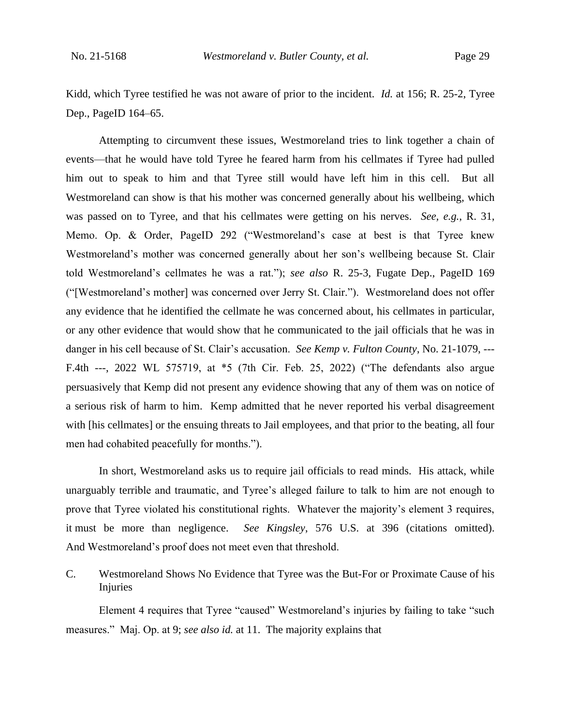Kidd, which Tyree testified he was not aware of prior to the incident. *Id.* at 156; R. 25-2, Tyree Dep., PageID 164–65.

Attempting to circumvent these issues, Westmoreland tries to link together a chain of events—that he would have told Tyree he feared harm from his cellmates if Tyree had pulled him out to speak to him and that Tyree still would have left him in this cell. But all Westmoreland can show is that his mother was concerned generally about his wellbeing, which was passed on to Tyree, and that his cellmates were getting on his nerves. *See, e.g.*, R. 31, Memo. Op. & Order, PageID 292 ("Westmoreland's case at best is that Tyree knew Westmoreland's mother was concerned generally about her son's wellbeing because St. Clair told Westmoreland's cellmates he was a rat."); *see also* R. 25-3, Fugate Dep., PageID 169 ("[Westmoreland's mother] was concerned over Jerry St. Clair."). Westmoreland does not offer any evidence that he identified the cellmate he was concerned about, his cellmates in particular, or any other evidence that would show that he communicated to the jail officials that he was in danger in his cell because of St. Clair's accusation. *See Kemp v. Fulton County*, No. 21-1079, --- F.4th ---, 2022 WL 575719, at \*5 (7th Cir. Feb. 25, 2022) ("The defendants also argue persuasively that Kemp did not present any evidence showing that any of them was on notice of a serious risk of harm to him. Kemp admitted that he never reported his verbal disagreement with [his cellmates] or the ensuing threats to Jail employees, and that prior to the beating, all four men had cohabited peacefully for months.").

In short, Westmoreland asks us to require jail officials to read minds. His attack, while unarguably terrible and traumatic, and Tyree's alleged failure to talk to him are not enough to prove that Tyree violated his constitutional rights. Whatever the majority's element 3 requires, it must be more than negligence. *See Kingsley*, 576 U.S. at 396 (citations omitted). And Westmoreland's proof does not meet even that threshold.

C. Westmoreland Shows No Evidence that Tyree was the But-For or Proximate Cause of his Injuries

Element 4 requires that Tyree "caused" Westmoreland's injuries by failing to take "such measures." Maj. Op. at 9; *see also id.* at 11. The majority explains that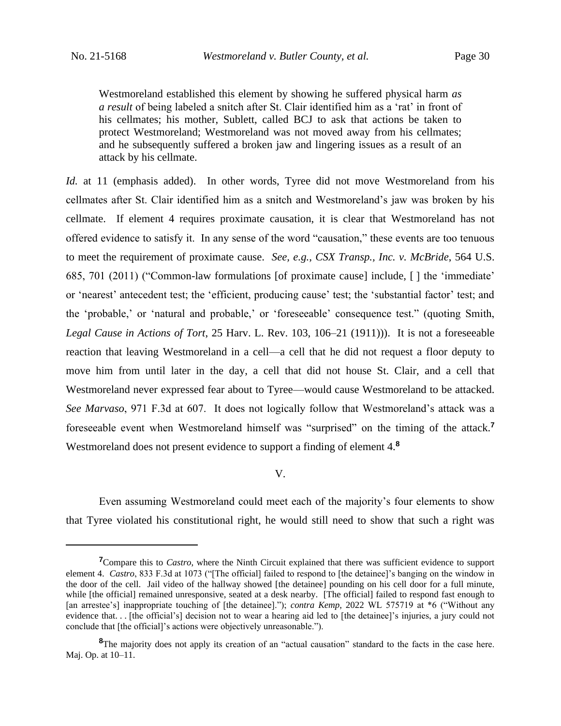Westmoreland established this element by showing he suffered physical harm *as a result* of being labeled a snitch after St. Clair identified him as a 'rat' in front of his cellmates; his mother, Sublett, called BCJ to ask that actions be taken to protect Westmoreland; Westmoreland was not moved away from his cellmates; and he subsequently suffered a broken jaw and lingering issues as a result of an attack by his cellmate.

*Id.* at 11 (emphasis added). In other words, Tyree did not move Westmoreland from his cellmates after St. Clair identified him as a snitch and Westmoreland's jaw was broken by his cellmate. If element 4 requires proximate causation, it is clear that Westmoreland has not offered evidence to satisfy it. In any sense of the word "causation," these events are too tenuous to meet the requirement of proximate cause. *See, e.g.*, *CSX Transp., Inc. v. McBride*, 564 U.S. 685, 701 (2011) ("Common-law formulations [of proximate cause] include, [ ] the 'immediate' or 'nearest' antecedent test; the 'efficient, producing cause' test; the 'substantial factor' test; and the 'probable,' or 'natural and probable,' or 'foreseeable' consequence test." (quoting Smith, *Legal Cause in Actions of Tort*, 25 Harv. L. Rev. 103, 106–21 (1911))). It is not a foreseeable reaction that leaving Westmoreland in a cell—a cell that he did not request a floor deputy to move him from until later in the day, a cell that did not house St. Clair, and a cell that Westmoreland never expressed fear about to Tyree—would cause Westmoreland to be attacked. *See Marvaso*, 971 F.3d at 607. It does not logically follow that Westmoreland's attack was a foreseeable event when Westmoreland himself was "surprised" on the timing of the attack.**<sup>7</sup>** Westmoreland does not present evidence to support a finding of element 4.**<sup>8</sup>**

### V.

Even assuming Westmoreland could meet each of the majority's four elements to show that Tyree violated his constitutional right, he would still need to show that such a right was

**<sup>7</sup>**Compare this to *Castro*, where the Ninth Circuit explained that there was sufficient evidence to support element 4. *Castro*, 833 F.3d at 1073 ("[The official] failed to respond to [the detainee]'s banging on the window in the door of the cell. Jail video of the hallway showed [the detainee] pounding on his cell door for a full minute, while [the official] remained unresponsive, seated at a desk nearby. [The official] failed to respond fast enough to [an arrestee's] inappropriate touching of [the detainee]."); *contra Kemp*, 2022 WL 575719 at \*6 ("Without any evidence that. . . [the official's] decision not to wear a hearing aid led to [the detainee]'s injuries, a jury could not conclude that [the official]'s actions were objectively unreasonable.").

**<sup>8</sup>**The majority does not apply its creation of an "actual causation" standard to the facts in the case here. Maj. Op. at 10–11.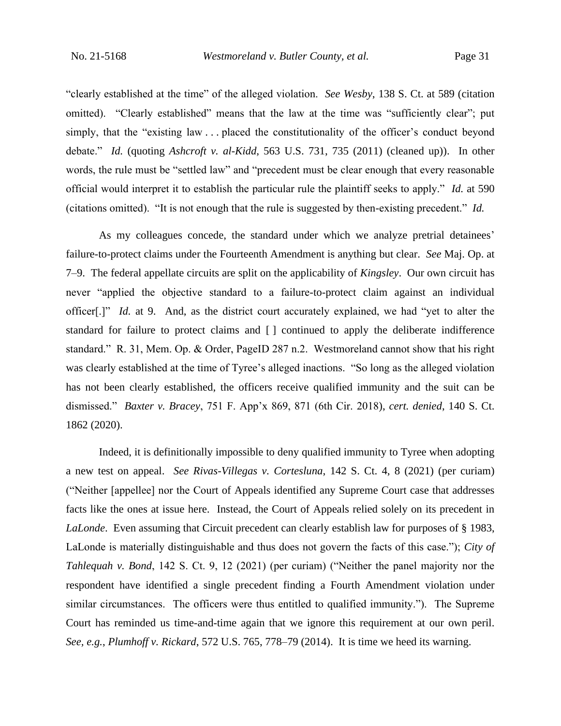"clearly established at the time" of the alleged violation. *See Wesby*, 138 S. Ct. at 589 (citation omitted). "Clearly established" means that the law at the time was "sufficiently clear"; put simply, that the "existing law . . . placed the constitutionality of the officer's conduct beyond debate." *Id.* (quoting *Ashcroft v. al-Kidd*, 563 U.S. 731, 735 (2011) (cleaned up)). In other words, the rule must be "settled law" and "precedent must be clear enough that every reasonable official would interpret it to establish the particular rule the plaintiff seeks to apply." *Id.* at 590 (citations omitted). "It is not enough that the rule is suggested by then-existing precedent." *Id.*

As my colleagues concede, the standard under which we analyze pretrial detainees' failure-to-protect claims under the Fourteenth Amendment is anything but clear. *See* Maj. Op. at 7–9. The federal appellate circuits are split on the applicability of *Kingsley*. Our own circuit has never "applied the objective standard to a failure-to-protect claim against an individual officer[.]" *Id.* at 9. And, as the district court accurately explained, we had "yet to alter the standard for failure to protect claims and [ ] continued to apply the deliberate indifference standard." R. 31, Mem. Op. & Order, PageID 287 n.2. Westmoreland cannot show that his right was clearly established at the time of Tyree's alleged inactions. "So long as the alleged violation has not been clearly established, the officers receive qualified immunity and the suit can be dismissed." *Baxter v. Bracey*, 751 F. App'x 869, 871 (6th Cir. 2018), *cert. denied*, 140 S. Ct. 1862 (2020).

Indeed, it is definitionally impossible to deny qualified immunity to Tyree when adopting a new test on appeal. *See Rivas-Villegas v. Cortesluna*, 142 S. Ct. 4, 8 (2021) (per curiam) ("Neither [appellee] nor the Court of Appeals identified any Supreme Court case that addresses facts like the ones at issue here. Instead, the Court of Appeals relied solely on its precedent in *LaLonde*. Even assuming that Circuit precedent can clearly establish law for purposes of § 1983, LaLonde is materially distinguishable and thus does not govern the facts of this case."); *City of Tahlequah v. Bond*, 142 S. Ct. 9, 12 (2021) (per curiam) ("Neither the panel majority nor the respondent have identified a single precedent finding a Fourth Amendment violation under similar circumstances. The officers were thus entitled to qualified immunity."). The Supreme Court has reminded us time-and-time again that we ignore this requirement at our own peril. *See, e.g.*, *Plumhoff v. Rickard*, 572 U.S. 765, 778–79 (2014). It is time we heed its warning.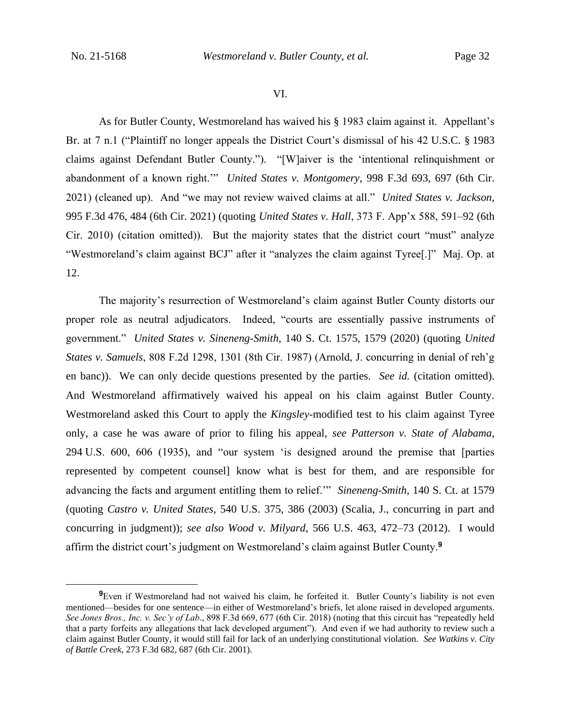### VI.

As for Butler County, Westmoreland has waived his § 1983 claim against it. Appellant's Br. at 7 n.1 ("Plaintiff no longer appeals the District Court's dismissal of his 42 U.S.C. § 1983 claims against Defendant Butler County."). "[W]aiver is the 'intentional relinquishment or abandonment of a known right.'" *United States v. Montgomery*, 998 F.3d 693, 697 (6th Cir. 2021) (cleaned up). And "we may not review waived claims at all." *United States v. Jackson*, 995 F.3d 476, 484 (6th Cir. 2021) (quoting *United States v. Hall*, 373 F. App'x 588, 591–92 (6th Cir. 2010) (citation omitted)). But the majority states that the district court "must" analyze "Westmoreland's claim against BCJ" after it "analyzes the claim against Tyree[.]" Maj. Op. at 12.

The majority's resurrection of Westmoreland's claim against Butler County distorts our proper role as neutral adjudicators. Indeed, "courts are essentially passive instruments of government." *United States v. Sineneng-Smith*, 140 S. Ct. 1575, 1579 (2020) (quoting *United States v. Samuels*, 808 F.2d 1298, 1301 (8th Cir. 1987) (Arnold, J. concurring in denial of reh'g en banc)). We can only decide questions presented by the parties. *See id.* (citation omitted). And Westmoreland affirmatively waived his appeal on his claim against Butler County. Westmoreland asked this Court to apply the *Kingsley*-modified test to his claim against Tyree only, a case he was aware of prior to filing his appeal, *see Patterson v. State of Alabama*, 294 U.S. 600, 606 (1935), and "our system 'is designed around the premise that [parties represented by competent counsel] know what is best for them, and are responsible for advancing the facts and argument entitling them to relief.'" *Sineneng-Smith*, 140 S. Ct. at 1579 (quoting *Castro v. United States*, 540 U.S. 375, 386 (2003) (Scalia, J., concurring in part and concurring in judgment)); *see also Wood v. Milyard*, 566 U.S. 463, 472–73 (2012). I would affirm the district court's judgment on Westmoreland's claim against Butler County.**<sup>9</sup>**

**<sup>9</sup>**Even if Westmoreland had not waived his claim, he forfeited it. Butler County's liability is not even mentioned—besides for one sentence—in either of Westmoreland's briefs, let alone raised in developed arguments. *See Jones Bros., Inc. v. Sec'y of Lab*., 898 F.3d 669, 677 (6th Cir. 2018) (noting that this circuit has "repeatedly held that a party forfeits any allegations that lack developed argument"). And even if we had authority to review such a claim against Butler County, it would still fail for lack of an underlying constitutional violation. *See Watkins v. City of Battle Creek*, 273 F.3d 682, 687 (6th Cir. 2001).